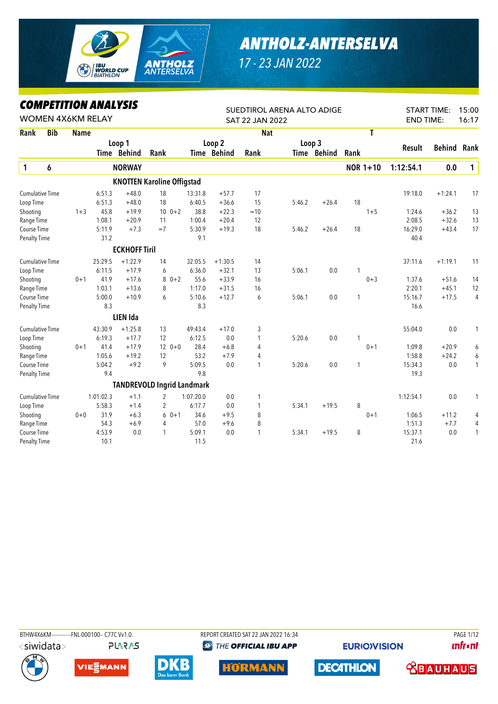

## *ANTHOLZ-ANTERSELVA*

*17 - 23 JAN 2022*

## *COMPETITION ANALYSIS*

|                        |                        | LUMPEIIIIUN ANALIƏIƏ<br><b>WOMEN 4X6KM RELAY</b> |           |                      |                                   |           |             | SUEDTIROL ARENA ALTO ADIGE |        |             |      |                 |                  | <b>START TIME:</b> | 15:00        |
|------------------------|------------------------|--------------------------------------------------|-----------|----------------------|-----------------------------------|-----------|-------------|----------------------------|--------|-------------|------|-----------------|------------------|--------------------|--------------|
|                        |                        |                                                  |           |                      |                                   |           |             | SAT 22 JAN 2022            |        |             |      |                 | <b>END TIME:</b> |                    | 16:17        |
| Rank                   | <b>Bib</b>             | <b>Name</b>                                      |           |                      |                                   |           |             | <b>Nat</b>                 |        |             |      | T               |                  |                    |              |
|                        |                        |                                                  |           | Loop 1               |                                   |           | Loop 2      |                            | Loop 3 |             |      |                 | <b>Result</b>    | <b>Behind</b>      | Rank         |
|                        |                        |                                                  |           | Time Behind          | Rank                              |           | Time Behind | Rank                       |        | Time Behind | Rank |                 |                  |                    |              |
| 1                      | 6                      |                                                  |           | <b>NORWAY</b>        |                                   |           |             |                            |        |             |      | <b>NOR 1+10</b> | 1:12:54.1        | 0.0                | $\mathbf{1}$ |
|                        |                        |                                                  |           |                      | <b>KNOTTEN Karoline Offigstad</b> |           |             |                            |        |             |      |                 |                  |                    |              |
| <b>Cumulative Time</b> |                        |                                                  | 6:51.3    | $+48.0$              | 18                                | 13:31.8   | $+57.7$     | 17                         |        |             |      |                 | 19:18.0          | $+1:24.1$          | 17           |
| Loop Time              |                        |                                                  | 6:51.3    | $+48.0$              | 18                                | 6:40.5    | $+36.6$     | 15                         | 5:46.2 | $+26.4$     | 18   |                 |                  |                    |              |
| Shooting               |                        | $1 + 3$                                          | 45.8      | $+19.9$              | $10 \t 0+2$                       | 38.8      | $+22.3$     | $=10$                      |        |             |      | $1 + 5$         | 1:24.6           | $+36.2$            | 13           |
| Range Time             |                        |                                                  | 1:08.1    | $+20.9$              | 11                                | 1:00.4    | $+20.4$     | 12                         |        |             |      |                 | 2:08.5           | $+32.6$            | 13           |
| Course Time            |                        |                                                  | 5:11.9    | $+7.3$               | $=7$                              | 5:30.9    | $+19.3$     | 18                         | 5:46.2 | $+26.4$     | 18   |                 | 16:29.0          | $+43.4$            | 17           |
| Penalty Time           |                        |                                                  | 31.2      |                      |                                   | 9.1       |             |                            |        |             |      |                 | 40.4             |                    |              |
|                        | <b>Cumulative Time</b> |                                                  |           | <b>ECKHOFF Tiril</b> |                                   |           |             |                            |        |             |      |                 |                  |                    |              |
|                        |                        |                                                  | 25:29.5   | $+1:22.9$            | 14                                | 32:05.5   | $+1:30.5$   | 14                         |        |             |      |                 | 37:11.6          | $+1:19.1$          | 11           |
| Loop Time              |                        |                                                  | 6:11.5    | $+17.9$              | 6                                 | 6:36.0    | $+32.1$     | 13                         | 5:06.1 | 0.0         | 1    |                 |                  |                    |              |
| Shooting               |                        | $0 + 1$                                          | 41.9      | $+17.6$              | 8<br>$0 + 2$                      | 55.6      | $+33.9$     | 16                         |        |             |      | $0 + 3$         | 1:37.6           | $+51.6$            | 14           |
| Range Time             |                        |                                                  | 1:03.1    | $+13.6$              | 8                                 | 1:17.0    | $+31.5$     | 16                         |        |             |      |                 | 2:20.1           | $+45.1$            | 12           |
| Course Time            |                        |                                                  | 5:00.0    | $+10.9$              | 6                                 | 5:10.6    | $+12.7$     | 6                          | 5:06.1 | 0.0         | 1    |                 | 15:16.7          | $+17.5$            | 4            |
| <b>Penalty Time</b>    |                        |                                                  | 8.3       |                      |                                   | 8.3       |             |                            |        |             |      |                 | 16.6             |                    |              |
|                        |                        |                                                  |           | <b>LIEN Ida</b>      |                                   |           |             |                            |        |             |      |                 |                  |                    |              |
| <b>Cumulative Time</b> |                        |                                                  | 43:30.9   | $+1:25.8$            | 13                                | 49:43.4   | $+17.0$     | 3                          |        |             |      |                 | 55:04.0          | 0.0                | 1            |
| Loop Time              |                        |                                                  | 6:19.3    | $+17.7$              | 12                                | 6:12.5    | 0.0         | 1                          | 5:20.6 | 0.0         | 1    |                 |                  |                    |              |
| Shooting               |                        | $0 + 1$                                          | 41.4      | $+17.9$              | $12 \t 0+0$                       | 28.4      | $+6.8$      | 4                          |        |             |      | $0 + 1$         | 1:09.8           | $+20.9$            | 6            |
| Range Time             |                        |                                                  | 1:05.6    | $+19.2$              | 12                                | 53.2      | $+7.9$      | 4                          |        |             |      |                 | 1:58.8           | $+24.2$            | 6            |
| Course Time            |                        |                                                  | 5:04.2    | $+9.2$               | 9                                 | 5:09.5    | 0.0         | 1                          | 5:20.6 | 0.0         | 1    |                 | 15:34.3          | 0.0                | $\mathbf{1}$ |
| <b>Penalty Time</b>    |                        |                                                  | 9.4       |                      |                                   | 9.8       |             |                            |        |             |      |                 | 19.3             |                    |              |
|                        |                        |                                                  |           |                      | <b>TANDREVOLD Ingrid Landmark</b> |           |             |                            |        |             |      |                 |                  |                    |              |
| <b>Cumulative Time</b> |                        |                                                  | 1:01:02.3 | $+1.1$               | $\overline{2}$                    | 1:07:20.0 | 0.0         | 1                          |        |             |      |                 | 1:12:54.1        | 0.0                | 1            |
| Loop Time              |                        |                                                  | 5:58.3    | $+1.4$               | 2                                 | 6:17.7    | 0.0         | 1                          | 5:34.1 | $+19.5$     | 8    |                 |                  |                    |              |
| Shooting               |                        | $0 + 0$                                          | 31.9      | $+6.3$               | 6<br>$0 + 1$                      | 34.6      | $+9.5$      | 8                          |        |             |      | $0 + 1$         | 1:06.5           | $+11.2$            | 4            |
| Range Time             |                        |                                                  | 54.3      | $+6.9$               | 4                                 | 57.0      | $+9.6$      | 8                          |        |             |      |                 | 1:51.3           | $+7.7$             | 4            |
| Course Time            |                        |                                                  | 4:53.9    | 0.0                  | 1                                 | 5:09.1    | 0.0         | 1                          | 5:34.1 | $+19.5$     | 8    |                 | 15:37.1          | 0.0                | $\mathbf{1}$ |
| <b>Penalty Time</b>    |                        |                                                  | 10.1      |                      |                                   | 11.5      |             |                            |        |             |      |                 | 21.6             |                    |              |

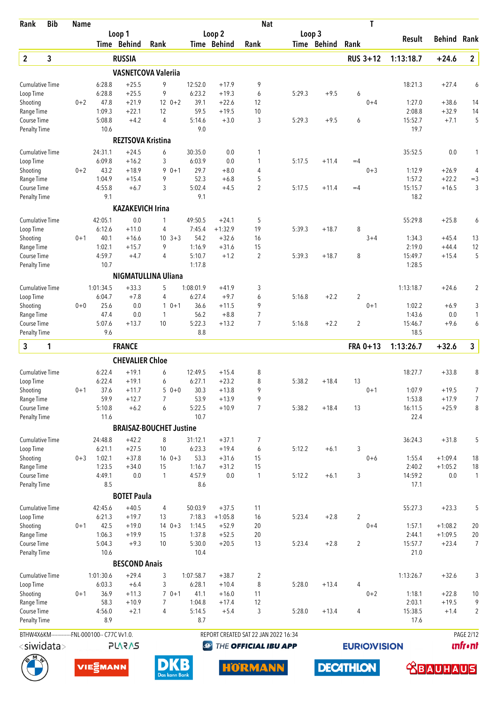| Rank                                | <b>Bib</b>            | <b>Name</b> |                                                |                          |                                |                   |                    | <b>Nat</b>                           |        |             | T                  |                   |                      |                          |
|-------------------------------------|-----------------------|-------------|------------------------------------------------|--------------------------|--------------------------------|-------------------|--------------------|--------------------------------------|--------|-------------|--------------------|-------------------|----------------------|--------------------------|
|                                     |                       |             |                                                | Loop 1                   |                                |                   | Loop <sub>2</sub>  |                                      | Loop 3 |             |                    | <b>Result</b>     | <b>Behind Rank</b>   |                          |
|                                     |                       |             |                                                | Time Behind              | Rank                           |                   | Time Behind        | Rank                                 |        | Time Behind | Rank               |                   |                      |                          |
| $\overline{2}$                      | 3                     |             |                                                | <b>RUSSIA</b>            |                                |                   |                    |                                      |        |             | <b>RUS 3+12</b>    | 1:13:18.7         | $+24.6$              | $\mathbf{2}$             |
|                                     |                       |             |                                                |                          | <b>VASNETCOVA Valeriia</b>     |                   |                    |                                      |        |             |                    |                   |                      |                          |
| <b>Cumulative Time</b>              |                       |             | 6:28.8                                         | $+25.5$                  | 9                              | 12:52.0           | $+17.9$            | 9                                    |        |             |                    | 18:21.3           | $+27.4$              | 6                        |
| Loop Time                           |                       |             | 6:28.8                                         | $+25.5$                  | 9                              | 6:23.2            | $+19.3$            | 6                                    | 5:29.3 | $+9.5$      | 6                  |                   |                      |                          |
| Shooting                            |                       | $0 + 2$     | 47.8<br>1:09.3                                 | $+21.9$                  | $120+2$                        | 39.1<br>59.5      | $+22.6$            | 12<br>10                             |        |             | $0 + 4$            | 1:27.0<br>2:08.8  | $+38.6$<br>$+32.9$   | 14                       |
| Range Time<br>Course Time           |                       |             | 5:08.8                                         | $+22.1$<br>$+4.2$        | 12<br>$\overline{4}$           | 5:14.6            | $+19.5$<br>$+3.0$  | 3                                    | 5:29.3 | $+9.5$      | 6                  | 15:52.7           | $+7.1$               | 14<br>5                  |
| <b>Penalty Time</b>                 |                       |             | 10.6                                           |                          |                                | 9.0               |                    |                                      |        |             |                    | 19.7              |                      |                          |
|                                     |                       |             |                                                | <b>REZTSOVA Kristina</b> |                                |                   |                    |                                      |        |             |                    |                   |                      |                          |
| <b>Cumulative Time</b>              |                       |             | 24:31.1                                        | $+24.5$                  | 6                              | 30:35.0           | 0.0                | 1                                    |        |             |                    | 35:52.5           | 0.0                  | 1                        |
| Loop Time                           |                       |             | 6:09.8                                         | $+16.2$                  | 3                              | 6:03.9            | 0.0                | 1                                    | 5:17.5 | $+11.4$     | $=4$               |                   |                      |                          |
| Shooting                            |                       | $0 + 2$     | 43.2                                           | $+18.9$                  | 9<br>$0 + 1$                   | 29.7              | $+8.0$             | 4                                    |        |             | $0 + 3$            | 1:12.9            | $+26.9$              | 4                        |
| Range Time                          |                       |             | 1:04.9                                         | $+15.4$                  | 9                              | 52.3              | $+6.8$             | 5                                    |        |             |                    | 1:57.2            | $+22.2$              | $=3$                     |
| Course Time                         |                       |             | 4:55.8                                         | $+6.7$                   | 3                              | 5:02.4            | $+4.5$             | $\overline{2}$                       | 5:17.5 | $+11.4$     | $=4$               | 15:15.7           | $+16.5$              | 3                        |
| <b>Penalty Time</b>                 |                       |             | 9.1                                            |                          |                                | 9.1               |                    |                                      |        |             |                    | 18.2              |                      |                          |
|                                     |                       |             |                                                | <b>KAZAKEVICH Irina</b>  |                                |                   |                    |                                      |        |             |                    |                   |                      |                          |
| <b>Cumulative Time</b>              |                       |             | 42:05.1                                        | 0.0                      | 1                              | 49:50.5           | $+24.1$            | 5                                    |        |             |                    | 55:29.8           | $+25.8$              | 6                        |
| Loop Time                           |                       |             | 6:12.6                                         | $+11.0$                  | 4                              | 7:45.4            | $+1:32.9$          | 19                                   | 5:39.3 | $+18.7$     | 8                  |                   |                      |                          |
| Shooting                            |                       | $0 + 1$     | 40.1                                           | $+16.6$                  | $10 \t3+3$                     | 54.2              | $+32.6$            | 16                                   |        |             | $3 + 4$            | 1:34.3            | $+45.4$              | 13                       |
| Range Time<br>Course Time           |                       |             | 1:02.1<br>4:59.7                               | $+15.7$<br>$+4.7$        | 9<br>$\overline{4}$            | 1:16.9<br>5:10.7  | $+31.6$<br>$+1.2$  | 15<br>$\overline{2}$                 | 5:39.3 | $+18.7$     | 8                  | 2:19.0<br>15:49.7 | $+44.4$<br>$+15.4$   | 12<br>5                  |
| <b>Penalty Time</b>                 |                       |             | 10.7                                           |                          |                                | 1:17.8            |                    |                                      |        |             |                    | 1:28.5            |                      |                          |
|                                     |                       |             |                                                |                          | <b>NIGMATULLINA Uliana</b>     |                   |                    |                                      |        |             |                    |                   |                      |                          |
| <b>Cumulative Time</b>              |                       |             | 1:01:34.5                                      | $+33.3$                  | 5                              | 1:08:01.9         | $+41.9$            |                                      |        |             |                    | 1:13:18.7         | $+24.6$              | 2                        |
| Loop Time                           |                       |             | 6:04.7                                         | $+7.8$                   | $\overline{4}$                 | 6:27.4            | $+9.7$             | 3<br>6                               | 5:16.8 | $+2.2$      | 2                  |                   |                      |                          |
| Shooting                            |                       | $0 + 0$     | 25.6                                           | 0.0                      | $10+1$                         | 36.6              | $+11.5$            | 9                                    |        |             | $0 + 1$            | 1:02.2            | $+6.9$               | 3                        |
| Range Time                          |                       |             | 47.4                                           | 0.0                      | 1                              | 56.2              | $+8.8$             | $\overline{7}$                       |        |             |                    | 1:43.6            | 0.0                  | 1                        |
| Course Time                         |                       |             | 5:07.6                                         | $+13.7$                  | 10                             | 5:22.3            | $+13.2$            | $\overline{7}$                       | 5:16.8 | $+2.2$      | $\overline{2}$     | 15:46.7           | $+9.6$               | 6                        |
| <b>Penalty Time</b>                 |                       |             | 9.6                                            |                          |                                | 8.8               |                    |                                      |        |             |                    | 18.5              |                      |                          |
| 3                                   | 1                     |             |                                                | <b>FRANCE</b>            |                                |                   |                    |                                      |        |             | FRA 0+13           | 1:13:26.7         | $+32.6$              | 3                        |
|                                     |                       |             |                                                | <b>CHEVALIER Chloe</b>   |                                |                   |                    |                                      |        |             |                    |                   |                      |                          |
| <b>Cumulative Time</b>              |                       |             | 6:22.4                                         | $+19.1$                  | 6                              | 12:49.5           | $+15.4$            | 8                                    |        |             |                    | 18:27.7           | $+33.8$              | 8                        |
| Loop Time                           |                       |             | 6:22.4                                         | $+19.1$                  | 6                              | 6:27.1            | $+23.2$            | 8                                    | 5:38.2 | $+18.4$     | 13                 |                   |                      |                          |
| Shooting                            |                       | $0 + 1$     | 37.6                                           | $+11.7$                  | $50+0$                         | 30.3              | $+13.8$            | 9                                    |        |             | $0 + 1$            | 1:07.9            | $+19.5$              | 7                        |
| Range Time                          |                       |             | 59.9                                           | $+12.7$                  | 7                              | 53.9              | $+13.9$            | 9                                    |        |             |                    | 1:53.8            | $+17.9$              | 7                        |
| Course Time<br><b>Penalty Time</b>  |                       |             | 5:10.8<br>11.6                                 | $+6.2$                   | 6                              | 5:22.5<br>10.7    | $+10.9$            | 7                                    | 5:38.2 | $+18.4$     | 13                 | 16:11.5<br>22.4   | $+25.9$              | 8                        |
|                                     |                       |             |                                                |                          | <b>BRAISAZ-BOUCHET Justine</b> |                   |                    |                                      |        |             |                    |                   |                      |                          |
|                                     |                       |             |                                                | $+42.2$                  | 8                              |                   |                    |                                      |        |             |                    |                   |                      |                          |
| <b>Cumulative Time</b><br>Loop Time |                       |             | 24:48.8<br>6:21.1                              | $+27.5$                  | 10                             | 31:12.1<br>6:23.3 | $+37.1$<br>$+19.4$ | 7<br>6                               | 5:12.2 | $+6.1$      | 3                  | 36:24.3           | $+31.8$              | 5                        |
| Shooting                            |                       | $0 + 3$     | 1:02.1                                         | $+37.8$                  | $16 \t 0+3$                    | 53.3              | $+31.6$            | 15                                   |        |             | $0 + 6$            | 1:55.4            | $+1:09.4$            | 18                       |
| Range Time                          |                       |             | 1:23.5                                         | $+34.0$                  | 15                             | 1:16.7            | $+31.2$            | 15                                   |        |             |                    | 2:40.2            | $+1:05.2$            | 18                       |
| Course Time                         |                       |             | 4:49.1                                         | 0.0                      | $\mathbf{1}$                   | 4:57.9            | 0.0                | 1                                    | 5:12.2 | $+6.1$      | 3                  | 14:59.2           | 0.0                  | $\mathbf{1}$             |
| <b>Penalty Time</b>                 |                       |             | 8.5                                            |                          |                                | 8.6               |                    |                                      |        |             |                    | 17.1              |                      |                          |
|                                     |                       |             |                                                | <b>BOTET Paula</b>       |                                |                   |                    |                                      |        |             |                    |                   |                      |                          |
| <b>Cumulative Time</b>              |                       |             | 42:45.6                                        | $+40.5$                  | $\overline{4}$                 | 50:03.9           | $+37.5$            | 11                                   |        |             |                    | 55:27.3           | $+23.3$              | 5                        |
| Loop Time                           |                       |             | 6:21.3                                         | $+19.7$                  | 13                             | 7:18.3            | $+1:05.8$          | 16                                   | 5:23.4 | $+2.8$      | 2                  |                   |                      |                          |
| Shooting                            |                       | $0 + 1$     | 42.5                                           | $+19.0$                  | $140+3$                        | 1:14.5            | $+52.9$            | 20                                   |        |             | $0 + 4$            | 1:57.1            | $+1:08.2$            | $20\,$                   |
| Range Time<br>Course Time           |                       |             | 1:06.3<br>5:04.3                               | $+19.9$<br>$+9.3$        | 15<br>10                       | 1:37.8<br>5:30.0  | $+52.5$<br>$+20.5$ | 20<br>13                             | 5:23.4 | $+2.8$      | $\overline{2}$     | 2:44.1<br>15:57.7 | $+1:09.5$<br>$+23.4$ | $20\,$<br>$\overline{7}$ |
| <b>Penalty Time</b>                 |                       |             | 10.6                                           |                          |                                | 10.4              |                    |                                      |        |             |                    | 21.0              |                      |                          |
|                                     |                       |             |                                                | <b>BESCOND Anais</b>     |                                |                   |                    |                                      |        |             |                    |                   |                      |                          |
| <b>Cumulative Time</b>              |                       |             | 1:01:30.6                                      | $+29.4$                  | 3                              | 1:07:58.7         | $+38.7$            | 2                                    |        |             |                    | 1:13:26.7         | $+32.6$              | 3                        |
| Loop Time                           |                       |             | 6:03.3                                         | $+6.4$                   | 3                              | 6:28.1            | $+10.4$            | 8                                    | 5:28.0 | $+13.4$     | 4                  |                   |                      |                          |
| Shooting                            |                       | $0 + 1$     | 36.9                                           | $+11.3$                  | $70+1$                         | 41.1              | $+16.0$            | 11                                   |        |             | $0 + 2$            | 1:18.1            | $+22.8$              | 10                       |
| Range Time                          |                       |             | 58.3                                           | $+10.9$                  | 7                              | 1:04.8            | $+17.4$            | 12                                   |        |             |                    | 2:03.1            | $+19.5$              | 9                        |
| Course Time                         |                       |             | 4:56.0                                         | $+2.1$                   | 4                              | 5:14.5            | $+5.4$             | 3                                    | 5:28.0 | $+13.4$     | 4                  | 15:38.5           | $+1.4$               | $\overline{2}$           |
| <b>Penalty Time</b>                 |                       |             | 8.9                                            |                          |                                | 8.7               |                    |                                      |        |             |                    | 17.6              |                      |                          |
|                                     |                       |             | BTHW4X6KM-------------FNL-000100-- C77C Vv1.0. |                          |                                |                   |                    | REPORT CREATED SAT 22 JAN 2022 16:34 |        |             |                    |                   |                      | <b>PAGE 2/12</b>         |
|                                     | <siwidata></siwidata> |             |                                                | <b>SV2V7L</b>            |                                | $\bigcirc$        |                    | THE OFFICIAL IBU APP                 |        |             | <b>EURIOVISION</b> |                   |                      | <b>unfr</b> •nt          |
|                                     |                       |             |                                                |                          |                                |                   |                    |                                      |        |             |                    |                   |                      |                          |

**DECATHLON** 





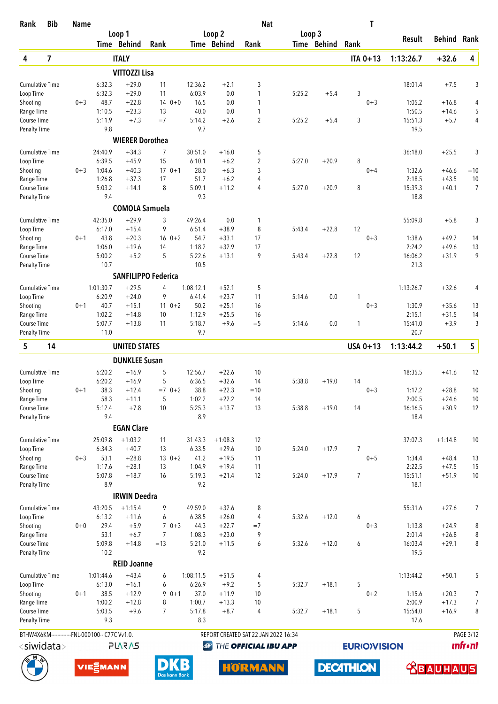| Rank                                | <b>Bib</b>              | <b>Name</b> |                                                |                                              |                |             |                   |                    | <b>Nat</b>                           |        |             | T                   |                   |                    |                  |
|-------------------------------------|-------------------------|-------------|------------------------------------------------|----------------------------------------------|----------------|-------------|-------------------|--------------------|--------------------------------------|--------|-------------|---------------------|-------------------|--------------------|------------------|
|                                     |                         |             |                                                | Loop 1                                       |                |             |                   | Loop <sub>2</sub>  |                                      | Loop 3 |             |                     | Result            | <b>Behind Rank</b> |                  |
|                                     |                         |             |                                                | <b>Time Behind</b>                           | Rank           |             |                   | Time Behind        | Rank                                 |        | Time Behind | Rank                |                   |                    |                  |
| 4                                   | $\overline{\mathbf{z}}$ |             |                                                | <b>ITALY</b>                                 |                |             |                   |                    |                                      |        |             | <b>ITA 0+13</b>     | 1:13:26.7         | $+32.6$            | 4                |
|                                     |                         |             |                                                | <b>VITTOZZI Lisa</b>                         |                |             |                   |                    |                                      |        |             |                     |                   |                    |                  |
| <b>Cumulative Time</b>              |                         |             | 6:32.3                                         | $+29.0$                                      | 11             |             | 12:36.2           | $+2.1$             | 3                                    |        |             |                     | 18:01.4           | $+7.5$             | 3                |
| Loop Time<br>Shooting               |                         | $0 + 3$     | 6:32.3<br>48.7                                 | $+29.0$<br>$+22.8$                           | 11             | $140+0$     | 6:03.9<br>16.5    | 0.0<br>0.0         | 1<br>1                               | 5:25.2 | $+5.4$      | 3<br>$0 + 3$        | 1:05.2            | $+16.8$            | 4                |
| Range Time                          |                         |             | 1:10.5                                         | $+23.3$                                      | 13             |             | 40.0              | 0.0                | 1                                    |        |             |                     | 1:50.5            | $+14.6$            | 5                |
| Course Time                         |                         |             | 5:11.9                                         | $+7.3$                                       | $=7$           |             | 5:14.2            | $+2.6$             | $\overline{c}$                       | 5:25.2 | $+5.4$      | 3                   | 15:51.3           | $+5.7$             | 4                |
| <b>Penalty Time</b>                 |                         |             | 9.8                                            |                                              |                |             | 9.7               |                    |                                      |        |             |                     | 19.5              |                    |                  |
|                                     |                         |             |                                                | <b>WIERER Dorothea</b>                       |                |             |                   |                    |                                      |        |             |                     |                   |                    |                  |
| <b>Cumulative Time</b>              |                         |             | 24:40.9                                        | $+34.3$                                      | $\overline{7}$ |             | 30:51.0           | $+16.0$            | 5                                    |        |             |                     | 36:18.0           | $+25.5$            | 3                |
| Loop Time                           |                         |             | 6:39.5                                         | $+45.9$                                      | 15             |             | 6:10.1            | $+6.2$             | 2                                    | 5:27.0 | $+20.9$     | 8                   |                   |                    |                  |
| Shooting                            |                         | $0 + 3$     | 1:04.6                                         | $+40.3$                                      |                | $170+1$     | 28.0              | $+6.3$             | 3                                    |        |             | $0 + 4$             | 1:32.6            | $+46.6$            | $=10$            |
| Range Time                          |                         |             | 1:26.8                                         | $+37.3$                                      | 17             |             | 51.7              | $+6.2$             | 4                                    |        |             |                     | 2:18.5            | $+43.5$            | 10               |
| Course Time                         |                         |             | 5:03.2<br>9.4                                  | $+14.1$                                      | 8              |             | 5:09.1<br>9.3     | $+11.2$            | 4                                    | 5:27.0 | $+20.9$     | 8                   | 15:39.3<br>18.8   | $+40.1$            | $\overline{7}$   |
| <b>Penalty Time</b>                 |                         |             |                                                |                                              |                |             |                   |                    |                                      |        |             |                     |                   |                    |                  |
|                                     |                         |             |                                                | <b>COMOLA Samuela</b>                        |                |             |                   |                    |                                      |        |             |                     |                   |                    |                  |
| <b>Cumulative Time</b>              |                         |             | 42:35.0<br>6:17.0                              | $+29.9$<br>$+15.4$                           | 3<br>9         |             | 49:26.4<br>6:51.4 | 0.0<br>$+38.9$     | 1<br>8                               | 5:43.4 | $+22.8$     | 12                  | 55:09.8           | $+5.8$             | 3                |
| Loop Time<br>Shooting               |                         | $0 + 1$     | 43.8                                           | $+20.3$                                      |                | $16 \t 0+2$ | 54.7              | $+33.1$            | 17                                   |        |             | $0 + 3$             | 1:38.6            | $+49.7$            | 14               |
| Range Time                          |                         |             | 1:06.0                                         | $+19.6$                                      | 14             |             | 1:18.2            | $+32.9$            | 17                                   |        |             |                     | 2:24.2            | $+49.6$            | 13               |
| Course Time                         |                         |             | 5:00.2                                         | $+5.2$                                       | 5              |             | 5:22.6            | $+13.1$            | 9                                    | 5:43.4 | $+22.8$     | 12                  | 16:06.2           | $+31.9$            | 9                |
| <b>Penalty Time</b>                 |                         |             | 10.7                                           |                                              |                |             | 10.5              |                    |                                      |        |             |                     | 21.3              |                    |                  |
|                                     |                         |             |                                                | <b>SANFILIPPO Federica</b>                   |                |             |                   |                    |                                      |        |             |                     |                   |                    |                  |
| Cumulative Time                     |                         |             | 1:01:30.7                                      | $+29.5$                                      | $\overline{4}$ |             | 1:08:12.1         | $+52.1$            | 5                                    |        |             |                     | 1:13:26.7         | $+32.6$            | 4                |
| Loop Time                           |                         |             | 6:20.9                                         | $+24.0$                                      | 9              |             | 6:41.4            | $+23.7$            | 11                                   | 5:14.6 | 0.0         | 1                   |                   |                    |                  |
| Shooting                            |                         | $0 + 1$     | 40.7                                           | $+15.1$                                      |                | $11 \t 0+2$ | 50.2              | $+25.1$            | 16                                   |        |             | $0 + 3$             | 1:30.9            | $+35.6$            | 13               |
| Range Time                          |                         |             | 1:02.2                                         | $+14.8$                                      | 10             |             | 1:12.9            | $+25.5$            | 16                                   |        |             |                     | 2:15.1            | $+31.5$            | 14               |
| Course Time                         |                         |             | 5:07.7                                         | $+13.8$                                      | 11             |             | 5:18.7<br>9.7     | $+9.6$             | $=$ 5                                | 5:14.6 | 0.0         | 1                   | 15:41.0<br>20.7   | $+3.9$             | 3                |
| <b>Penalty Time</b>                 |                         |             | 11.0                                           |                                              |                |             |                   |                    |                                      |        |             |                     |                   |                    |                  |
| 5                                   | 14                      |             |                                                | <b>UNITED STATES</b><br><b>DUNKLEE Susan</b> |                |             |                   |                    |                                      |        |             | USA 0+13            | 1:13:44.2         | $+50.1$            | 5                |
|                                     |                         |             | 6:20.2                                         |                                              |                |             |                   |                    | 10                                   |        |             |                     |                   |                    | 12               |
| <b>Cumulative Time</b><br>Loop Time |                         |             | 6:20.2                                         | $+16.9$<br>$+16.9$                           | 5<br>5         |             | 12:56.7<br>6:36.5 | $+22.6$<br>$+32.6$ | 14                                   | 5:38.8 | $+19.0$     | 14                  | 18:35.5           | $+41.6$            |                  |
| Shooting                            |                         | $0 + 1$     | 38.3                                           | $+12.4$                                      |                | $=7$ 0+2    | 38.8              | $+22.3$            | $=10$                                |        |             | $0 + 3$             | 1:17.2            | $+28.8$            | 10               |
| Range Time                          |                         |             | 58.3                                           | $+11.1$                                      | 5              |             | 1:02.2            | $+22.2$            | 14                                   |        |             |                     | 2:00.5            | $+24.6$            | 10               |
| Course Time                         |                         |             | 5:12.4                                         | $+7.8$                                       | 10             |             | 5:25.3            | $+13.7$            | 13                                   | 5:38.8 | $+19.0$     | 14                  | 16:16.5           | $+30.9$            | 12               |
| <b>Penalty Time</b>                 |                         |             | 9.4                                            |                                              |                |             | 8.9               |                    |                                      |        |             |                     | 18.4              |                    |                  |
|                                     |                         |             |                                                | <b>EGAN Clare</b>                            |                |             |                   |                    |                                      |        |             |                     |                   |                    |                  |
| <b>Cumulative Time</b>              |                         |             | 25:09.8                                        | $+1:03.2$                                    | 11             |             | 31:43.3           | $+1:08.3$          | 12                                   |        |             |                     | 37:07.3           | $+1:14.8$          | 10               |
| Loop Time                           |                         |             | 6:34.3                                         | $+40.7$                                      | 13             |             | 6:33.5            | $+29.6$            | 10                                   | 5:24.0 | $+17.9$     | $\overline{7}$      |                   |                    |                  |
| Shooting                            |                         | $0 + 3$     | 53.1                                           | $+28.8$                                      |                | $130+2$     | 41.2              | $+19.5$            | 11                                   |        |             | $0 + 5$             | 1:34.4            | $+48.4$            | 13               |
| Range Time<br>Course Time           |                         |             | 1:17.6<br>5:07.8                               | $+28.1$<br>$+18.7$                           | 13<br>16       |             | 1:04.9<br>5:19.3  | $+19.4$<br>$+21.4$ | 11<br>12                             | 5:24.0 | $+17.9$     | $\overline{7}$      | 2:22.5<br>15:51.1 | $+47.5$<br>$+51.9$ | 15<br>10         |
| <b>Penalty Time</b>                 |                         |             | 8.9                                            |                                              |                |             | 9.2               |                    |                                      |        |             |                     | 18.1              |                    |                  |
|                                     |                         |             |                                                | <b>IRWIN Deedra</b>                          |                |             |                   |                    |                                      |        |             |                     |                   |                    |                  |
| <b>Cumulative Time</b>              |                         |             | 43:20.5                                        | $+1:15.4$                                    | 9              |             | 49:59.0           | $+32.6$            | 8                                    |        |             |                     | 55:31.6           | $+27.6$            | 7                |
| Loop Time                           |                         |             | 6:13.2                                         | $+11.6$                                      | 6              |             | 6:38.5            | $+26.0$            | 4                                    | 5:32.6 | $+12.0$     | 6                   |                   |                    |                  |
| Shooting                            |                         | $0 + 0$     | 29.4                                           | $+5.9$                                       |                | $70+3$      | 44.3              | $+22.7$            | $=7$                                 |        |             | $0 + 3$             | 1:13.8            | $+24.9$            | 8                |
| Range Time                          |                         |             | 53.1                                           | $+6.7$                                       | 7              |             | 1:08.3            | $+23.0$            | 9                                    |        |             |                     | 2:01.4            | $+26.8$            | 8                |
| Course Time                         |                         |             | 5:09.8                                         | $+14.8$                                      | $=13$          |             | 5:21.0            | $+11.5$            | 6                                    | 5:32.6 | $+12.0$     | 6                   | 16:03.4           | $+29.1$            | 8                |
| <b>Penalty Time</b>                 |                         |             | 10.2                                           |                                              |                |             | 9.2               |                    |                                      |        |             |                     | 19.5              |                    |                  |
|                                     |                         |             |                                                | <b>REID Joanne</b>                           |                |             |                   |                    |                                      |        |             |                     |                   |                    |                  |
| <b>Cumulative Time</b>              |                         |             | 1:01:44.6                                      | $+43.4$                                      | 6              |             | 1:08:11.5         | $+51.5$            | 4                                    |        |             |                     | 1:13:44.2         | $+50.1$            | 5                |
| Loop Time                           |                         |             | 6:13.0                                         | $+16.1$                                      | 6              |             | 6:26.9            | $+9.2$             | 5                                    | 5:32.7 | $+18.1$     | 5                   |                   |                    |                  |
| Shooting<br>Range Time              |                         | $0 + 1$     | 38.5<br>1:00.2                                 | $+12.9$<br>$+12.8$                           | 8              | $90+1$      | 37.0<br>1:00.7    | $+11.9$<br>$+13.3$ | 10<br>10                             |        |             | $0 + 2$             | 1:15.6<br>2:00.9  | $+20.3$<br>$+17.3$ | 7<br>7           |
| Course Time                         |                         |             | 5:03.5                                         | $+9.6$                                       | 7              |             | 5:17.8            | $+8.7$             | 4                                    | 5:32.7 | $+18.1$     | 5                   | 15:54.0           | $+16.9$            | 8                |
| <b>Penalty Time</b>                 |                         |             | 9.3                                            |                                              |                |             | 8.3               |                    |                                      |        |             |                     | 17.6              |                    |                  |
|                                     |                         |             | BTHW4X6KM-------------FNL-000100-- C77C Vv1.0. |                                              |                |             |                   |                    | REPORT CREATED SAT 22 JAN 2022 16:34 |        |             |                     |                   |                    | <b>PAGE 3/12</b> |
|                                     | $<$ siwidata $>$        |             |                                                | <b>SV2V7L</b>                                |                |             | $\bigcirc$        |                    | THE OFFICIAL IBU APP                 |        |             | <b>EURIO)VISION</b> |                   |                    | <b>unfr</b> •nt  |

**DECATHLON** 





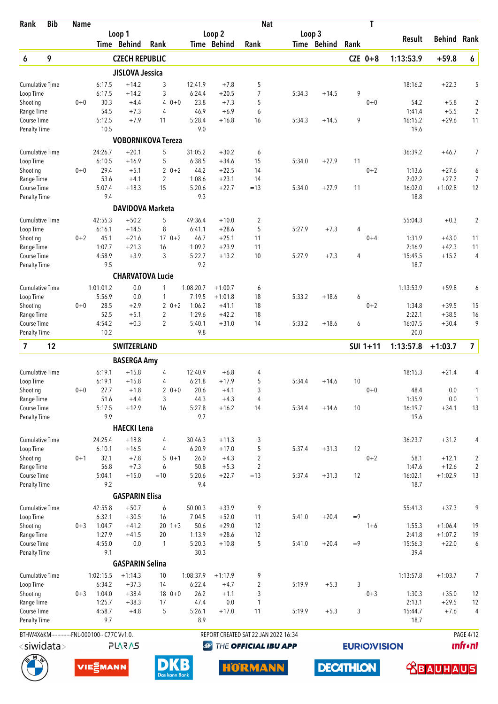| Rank                                | <b>Bib</b> | <b>Name</b> |                                                |                           |                           |                   |                    | <b>Nat</b>                           |        |                  |      | T                   |                   |                    |                                  |
|-------------------------------------|------------|-------------|------------------------------------------------|---------------------------|---------------------------|-------------------|--------------------|--------------------------------------|--------|------------------|------|---------------------|-------------------|--------------------|----------------------------------|
|                                     |            |             |                                                | Loop 1                    |                           |                   | Loop <sub>2</sub>  |                                      | Loop 3 |                  |      |                     | Result            | Behind             | Rank                             |
|                                     |            |             |                                                | Time Behind               | Rank                      |                   | Time Behind        | Rank                                 |        | Time Behind      | Rank |                     |                   |                    |                                  |
| 6                                   | 9          |             |                                                | <b>CZECH REPUBLIC</b>     |                           |                   |                    |                                      |        |                  |      | $CZE$ 0+8           | 1:13:53.9         | $+59.8$            | $\pmb{6}$                        |
|                                     |            |             |                                                | <b>JISLOVA Jessica</b>    |                           |                   |                    |                                      |        |                  |      |                     |                   |                    |                                  |
| <b>Cumulative Time</b><br>Loop Time |            |             | 6:17.5<br>6:17.5                               | $+14.2$<br>$+14.2$        | 3<br>3                    | 12:41.9<br>6:24.4 | $+7.8$<br>$+20.5$  | 5<br>$\overline{7}$                  | 5:34.3 | $+14.5$          | 9    |                     | 18:16.2           | $+22.3$            | 5                                |
| Shooting                            |            | $0 + 0$     | 30.3                                           | $+4.4$                    | $\overline{4}$<br>$0 + 0$ | 23.8              | $+7.3$             | 5                                    |        |                  |      | $0 + 0$             | 54.2              | $+5.8$             | $\overline{2}$                   |
| Range Time                          |            |             | 54.5                                           | $+7.3$                    | $\overline{4}$            | 46.9              | $+6.9$             | 6                                    |        |                  |      |                     | 1:41.4            | $+5.5$             | $\overline{2}$                   |
| Course Time                         |            |             | 5:12.5                                         | $+7.9$                    | 11                        | 5:28.4            | $+16.8$            | 16                                   | 5:34.3 | $+14.5$          | 9    |                     | 16:15.2           | $+29.6$            | 11                               |
| <b>Penalty Time</b>                 |            |             | 10.5                                           |                           |                           | 9.0               |                    |                                      |        |                  |      |                     | 19.6              |                    |                                  |
|                                     |            |             |                                                | <b>VOBORNIKOVA Tereza</b> |                           |                   |                    |                                      |        |                  |      |                     |                   |                    |                                  |
| <b>Cumulative Time</b>              |            |             | 24:26.7                                        | $+20.1$                   | 5                         | 31:05.2           | $+30.2$            | 6                                    |        |                  |      |                     | 36:39.2           | $+46.7$            | 7                                |
| Loop Time                           |            |             | 6:10.5                                         | $+16.9$                   | 5                         | 6:38.5            | $+34.6$            | 15                                   | 5:34.0 | $+27.9$          | 11   |                     |                   |                    |                                  |
| Shooting<br>Range Time              |            | $0 + 0$     | 29.4<br>53.6                                   | $+5.1$<br>$+4.1$          | $20+2$<br>2               | 44.2<br>1:08.6    | $+22.5$<br>$+23.1$ | 14<br>14                             |        |                  |      | $0 + 2$             | 1:13.6<br>2:02.2  | $+27.6$<br>$+27.2$ | 6<br>7                           |
| Course Time                         |            |             | 5:07.4                                         | $+18.3$                   | 15                        | 5:20.6            | $+22.7$            | $=13$                                | 5:34.0 | $+27.9$          | 11   |                     | 16:02.0           | $+1:02.8$          | 12                               |
| <b>Penalty Time</b>                 |            |             | 9.4                                            |                           |                           | 9.3               |                    |                                      |        |                  |      |                     | 18.8              |                    |                                  |
|                                     |            |             |                                                | <b>DAVIDOVA Marketa</b>   |                           |                   |                    |                                      |        |                  |      |                     |                   |                    |                                  |
| <b>Cumulative Time</b>              |            |             | 42:55.3                                        | $+50.2$                   | 5                         | 49:36.4           | $+10.0$            | $\overline{c}$                       |        |                  |      |                     | 55:04.3           | $+0.3$             | $\overline{2}$                   |
| Loop Time                           |            |             | 6:16.1                                         | $+14.5$                   | 8                         | 6:41.1            | $+28.6$            | 5                                    | 5:27.9 | $+7.3$           | 4    |                     |                   |                    |                                  |
| Shooting                            |            | $0 + 2$     | 45.1                                           | $+21.6$                   | $170+2$                   | 46.7              | $+25.1$            | 11                                   |        |                  |      | $0 + 4$             | 1:31.9            | $+43.0$            | 11                               |
| Range Time<br>Course Time           |            |             | 1:07.7<br>4:58.9                               | $+21.3$<br>$+3.9$         | 16<br>3                   | 1:09.2<br>5:22.7  | $+23.9$<br>$+13.2$ | 11<br>10                             |        |                  | 4    |                     | 2:16.9<br>15:49.5 | $+42.3$<br>$+15.2$ | 11<br>4                          |
| <b>Penalty Time</b>                 |            |             | 9.5                                            |                           |                           | 9.2               |                    |                                      | 5:27.9 | $+7.3$           |      |                     | 18.7              |                    |                                  |
|                                     |            |             |                                                | <b>CHARVATOVA Lucie</b>   |                           |                   |                    |                                      |        |                  |      |                     |                   |                    |                                  |
| <b>Cumulative Time</b>              |            |             | 1:01:01.2                                      | 0.0                       | 1                         | 1:08:20.7         | $+1:00.7$          | 6                                    |        |                  |      |                     | 1:13:53.9         | $+59.8$            | 6                                |
| Loop Time                           |            |             | 5:56.9                                         | 0.0                       | $\mathbf{1}$              | 7:19.5            | $+1:01.8$          | 18                                   | 5:33.2 | $+18.6$          | 6    |                     |                   |                    |                                  |
| Shooting                            |            | $0 + 0$     | 28.5                                           | $+2.9$                    | $20+2$                    | 1:06.2            | $+41.1$            | 18                                   |        |                  |      | $0 + 2$             | 1:34.8            | $+39.5$            | 15                               |
| Range Time                          |            |             | 52.5                                           | $+5.1$                    | 2                         | 1:29.6            | $+42.2$            | 18                                   |        |                  |      |                     | 2:22.1            | $+38.5$            | 16                               |
| Course Time<br><b>Penalty Time</b>  |            |             | 4:54.2<br>10.2                                 | $+0.3$                    | $\overline{2}$            | 5:40.1<br>9.8     | $+31.0$            | 14                                   | 5:33.2 | $+18.6$          | 6    |                     | 16:07.5<br>20.0   | $+30.4$            | 9                                |
|                                     |            |             |                                                |                           |                           |                   |                    |                                      |        |                  |      |                     |                   |                    |                                  |
| $\overline{7}$                      | 12         |             |                                                | <b>SWITZERLAND</b>        |                           |                   |                    |                                      |        |                  |      | SUI 1+11            | 1:13:57.8         | $+1:03.7$          | $\overline{7}$                   |
|                                     |            |             |                                                | <b>BASERGA Amy</b>        |                           |                   |                    |                                      |        |                  |      |                     |                   |                    |                                  |
| <b>Cumulative Time</b>              |            |             | 6:19.1<br>6:19.1                               | $+15.8$<br>$+15.8$        | 4                         | 12:40.9<br>6:21.8 | $+6.8$<br>$+17.9$  | 4                                    |        |                  | 10   |                     | 18:15.3           | $+21.4$            | 4                                |
| Loop Time<br>Shooting               |            | $0 + 0$     | 27.7                                           | $+1.8$                    | 4<br>$20+0$               | 20.6              | $+4.1$             | 5<br>3                               | 5:34.4 | $+14.6$          |      | $0 + 0$             | 48.4              | 0.0                | 1                                |
| Range Time                          |            |             | 51.6                                           | $+4.4$                    | 3                         | 44.3              | $+4.3$             | 4                                    |        |                  |      |                     | 1:35.9            | 0.0                | $\mathbf{1}$                     |
| Course Time                         |            |             | 5:17.5                                         | $+12.9$                   | 16                        | 5:27.8            | $+16.2$            | 14                                   | 5:34.4 | $+14.6$          | 10   |                     | 16:19.7           | $+34.1$            | 13                               |
| <b>Penalty Time</b>                 |            |             | 9.9                                            |                           |                           | 9.7               |                    |                                      |        |                  |      |                     | 19.6              |                    |                                  |
|                                     |            |             |                                                | <b>HAECKI Lena</b>        |                           |                   |                    |                                      |        |                  |      |                     |                   |                    |                                  |
| <b>Cumulative Time</b>              |            |             | 24:25.4                                        | $+18.8$                   | 4                         | 30:46.3           | $+11.3$            | 3                                    |        |                  |      |                     | 36:23.7           | $+31.2$            | 4                                |
| Loop Time                           |            |             | 6:10.1                                         | $+16.5$                   | 4                         | 6:20.9            | $+17.0$            | 5                                    | 5:37.4 | $+31.3$          | 12   |                     |                   |                    |                                  |
| Shooting<br>Range Time              |            | $0 + 1$     | 32.1<br>56.8                                   | $+7.8$<br>$+7.3$          | $50+1$<br>6               | 26.0<br>50.8      | $+4.3$<br>$+5.3$   | $\sqrt{2}$<br>$\overline{2}$         |        |                  |      | $0 + 2$             | 58.1<br>1:47.6    | $+12.1$<br>$+12.6$ | $\overline{c}$<br>$\overline{2}$ |
| Course Time                         |            |             | 5:04.1                                         | $+15.0$                   | $=10$                     | 5:20.6            | $+22.7$            | $=13$                                | 5:37.4 | $+31.3$          | 12   |                     | 16:02.1           | $+1:02.9$          | 13                               |
| <b>Penalty Time</b>                 |            |             | 9.2                                            |                           |                           | 9.4               |                    |                                      |        |                  |      |                     | 18.7              |                    |                                  |
|                                     |            |             |                                                | <b>GASPARIN Elisa</b>     |                           |                   |                    |                                      |        |                  |      |                     |                   |                    |                                  |
| <b>Cumulative Time</b>              |            |             | 42:55.8                                        | $+50.7$                   | 6                         | 50:00.3           | $+33.9$            | 9                                    |        |                  |      |                     | 55:41.3           | $+37.3$            | 9                                |
| Loop Time                           |            |             | 6:32.1                                         | $+30.5$                   | 16                        | 7:04.5            | $+52.0$            | 11                                   | 5:41.0 | $+20.4$          | $=9$ |                     |                   |                    |                                  |
| Shooting                            |            | $0 + 3$     | 1:04.7                                         | $+41.2$                   | $20 \t1+3$                | 50.6              | $+29.0$            | 12                                   |        |                  |      | $1 + 6$             | 1:55.3            | $+1:06.4$          | 19                               |
| Range Time                          |            |             | 1:27.9                                         | $+41.5$                   | 20                        | 1:13.9            | $+28.6$            | 12                                   |        |                  |      |                     | 2:41.8            | $+1:07.2$          | 19                               |
| Course Time<br><b>Penalty Time</b>  |            |             | 4:55.0<br>9.1                                  | 0.0                       | $\mathbf{1}$              | 5:20.3<br>30.3    | $+10.8$            | 5                                    | 5:41.0 | $+20.4$          | $=9$ |                     | 15:56.3<br>39.4   | $+22.0$            | 6                                |
|                                     |            |             |                                                | <b>GASPARIN Selina</b>    |                           |                   |                    |                                      |        |                  |      |                     |                   |                    |                                  |
| <b>Cumulative Time</b>              |            |             | 1:02:15.5                                      | $+1:14.3$                 | 10                        | 1:08:37.9         | $+1:17.9$          | 9                                    |        |                  |      |                     | 1:13:57.8         | $+1:03.7$          | 7                                |
| Loop Time                           |            |             | 6:34.2                                         | $+37.3$                   | 14                        | 6:22.4            | $+4.7$             | $\overline{2}$                       | 5:19.9 | $+5.3$           | 3    |                     |                   |                    |                                  |
| Shooting                            |            | $0 + 3$     | 1:04.0                                         | $+38.4$                   | $180+0$                   | 26.2              | $+1.1$             | 3                                    |        |                  |      | $0 + 3$             | 1:30.3            | $+35.0$            | 12                               |
| Range Time                          |            |             | 1:25.7                                         | $+38.3$                   | 17                        | 47.4              | 0.0                | $\mathbf{1}$                         |        |                  |      |                     | 2:13.1            | $+29.5$            | 12                               |
| Course Time                         |            |             | 4:58.7<br>9.7                                  | $+4.8$                    | 5                         | 5:26.1            | $+17.0$            | 11                                   | 5:19.9 | $+5.3$           | 3    |                     | 15:44.7<br>18.7   | $+7.6$             | $\overline{4}$                   |
| Penalty Time                        |            |             |                                                |                           |                           | 8.9               |                    |                                      |        |                  |      |                     |                   |                    |                                  |
|                                     |            |             | BTHW4X6KM-------------FNL-000100-- C77C Vv1.0. |                           |                           |                   |                    | REPORT CREATED SAT 22 JAN 2022 16:34 |        |                  |      |                     |                   |                    | <b>PAGE 4/12</b>                 |
| <siwidata></siwidata>               |            |             |                                                | <b>PLARAS</b>             |                           |                   | Ø                  | THE OFFICIAL IBU APP                 |        |                  |      | <b>EURIO)VISION</b> |                   |                    | <b>unfront</b>                   |
|                                     |            |             | VIE <sub>E</sub> MANN                          |                           |                           | B                 |                    |                                      |        |                  |      |                     |                   |                    |                                  |
|                                     |            |             |                                                |                           |                           |                   |                    | HÖRMANN                              |        | <b>DECATHLON</b> |      |                     |                   | <b>ABAUHAUS</b>    |                                  |





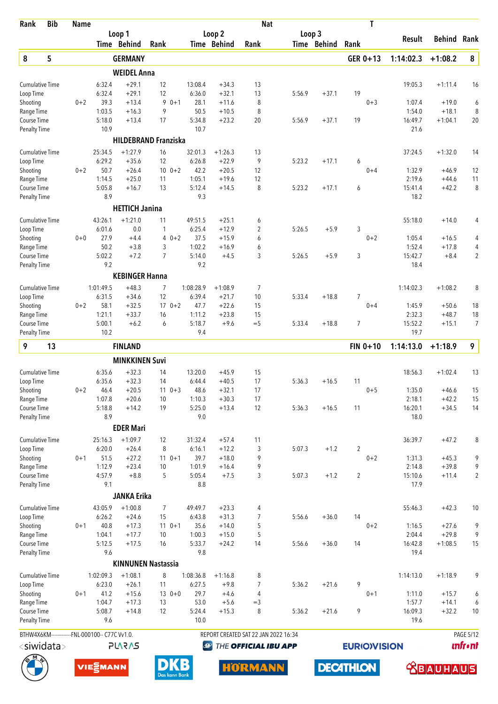| Rank                               | <b>Bib</b>                                     | <b>Name</b> |                   |                       |                             |                   |                    | <b>Nat</b>                           |        |             | T                  |                   |                      |                  |
|------------------------------------|------------------------------------------------|-------------|-------------------|-----------------------|-----------------------------|-------------------|--------------------|--------------------------------------|--------|-------------|--------------------|-------------------|----------------------|------------------|
|                                    |                                                |             |                   | Loop 1                |                             |                   | Loop 2             |                                      | Loop 3 |             |                    | <b>Result</b>     | <b>Behind Rank</b>   |                  |
|                                    |                                                |             |                   | Time Behind           | Rank                        |                   | Time Behind        | Rank                                 |        | Time Behind | Rank               |                   |                      |                  |
| 8                                  | 5                                              |             |                   | <b>GERMANY</b>        |                             |                   |                    |                                      |        |             | GER 0+13           | 1:14:02.3         | $+1:08.2$            | 8                |
|                                    |                                                |             |                   | <b>WEIDEL Anna</b>    |                             |                   |                    |                                      |        |             |                    |                   |                      |                  |
| <b>Cumulative Time</b>             |                                                |             | 6:32.4            | $+29.1$               | 12                          | 13:08.4           | $+34.3$            | 13                                   |        |             |                    | 19:05.3           | $+1:11.4$            | 16               |
| Loop Time                          |                                                |             | 6:32.4            | $+29.1$               | 12                          | 6:36.0            | $+32.1$            | 13                                   | 5:56.9 | $+37.1$     | 19                 |                   |                      |                  |
| Shooting                           |                                                | $0 + 2$     | 39.3              | $+13.4$               | 9<br>$0 + 1$<br>9           | 28.1              | $+11.6$            | 8                                    |        |             | $0 + 3$            | 1:07.4            | $+19.0$              | 6                |
| Range Time<br>Course Time          |                                                |             | 1:03.5<br>5:18.0  | $+16.3$<br>$+13.4$    | 17                          | 50.5<br>5:34.8    | $+10.5$<br>$+23.2$ | 8<br>20                              | 5:56.9 | $+37.1$     | 19                 | 1:54.0<br>16:49.7 | $+18.1$<br>$+1:04.1$ | 8<br>20          |
| <b>Penalty Time</b>                |                                                |             | 10.9              |                       |                             | 10.7              |                    |                                      |        |             |                    | 21.6              |                      |                  |
|                                    |                                                |             |                   |                       | <b>HILDEBRAND Franziska</b> |                   |                    |                                      |        |             |                    |                   |                      |                  |
| <b>Cumulative Time</b>             |                                                |             | 25:34.5           | $+1:27.9$             | 16                          | 32:01.3           | $+1:26.3$          | 13                                   |        |             |                    | 37:24.5           | $+1:32.0$            | 14               |
| Loop Time                          |                                                |             | 6:29.2            | $+35.6$               | 12                          | 6:26.8            | $+22.9$            | 9                                    | 5:23.2 | $+17.1$     | 6                  |                   |                      |                  |
| Shooting                           |                                                | $0 + 2$     | 50.7              | $+26.4$               | $10 \t 0+2$                 | 42.2              | $+20.5$            | 12                                   |        |             | $0 + 4$            | 1:32.9            | $+46.9$              | 12               |
| Range Time                         |                                                |             | 1:14.5            | $+25.0$               | 11                          | 1:05.1            | $+19.6$            | 12                                   |        |             |                    | 2:19.6            | $+44.6$              | 11               |
| Course Time                        |                                                |             | 5:05.8            | $+16.7$               | 13                          | 5:12.4            | $+14.5$            | 8                                    | 5:23.2 | $+17.1$     | 6                  | 15:41.4           | $+42.2$              | 8                |
| <b>Penalty Time</b>                |                                                |             | 8.9               |                       |                             | 9.3               |                    |                                      |        |             |                    | 18.2              |                      |                  |
|                                    |                                                |             |                   | <b>HETTICH Janina</b> |                             |                   |                    |                                      |        |             |                    |                   |                      |                  |
| <b>Cumulative Time</b>             |                                                |             | 43:26.1<br>6:01.6 | $+1:21.0$<br>0.0      | 11                          | 49:51.5<br>6:25.4 | $+25.1$<br>$+12.9$ | 6                                    | 5:26.5 | $+5.9$      |                    | 55:18.0           | $+14.0$              | 4                |
| Loop Time<br>Shooting              |                                                | $0 + 0$     | 27.9              | $+4.4$                | 1<br>$0 + 2$<br>4           | 37.5              | $+15.9$            | 2<br>6                               |        |             | 3<br>$0 + 2$       | 1:05.4            | $+16.5$              | 4                |
| Range Time                         |                                                |             | 50.2              | $+3.8$                | 3                           | 1:02.2            | $+16.9$            | 6                                    |        |             |                    | 1:52.4            | $+17.8$              | 4                |
| Course Time                        |                                                |             | 5:02.2            | $+7.2$                | $\overline{7}$              | 5:14.0            | $+4.5$             | 3                                    | 5:26.5 | $+5.9$      | 3                  | 15:42.7           | $+8.4$               | $\overline{2}$   |
| <b>Penalty Time</b>                |                                                |             | 9.2               |                       |                             | 9.2               |                    |                                      |        |             |                    | 18.4              |                      |                  |
|                                    |                                                |             |                   | <b>KEBINGER Hanna</b> |                             |                   |                    |                                      |        |             |                    |                   |                      |                  |
| <b>Cumulative Time</b>             |                                                |             | 1:01:49.5         | $+48.3$               | 7                           | 1:08:28.9         | $+1:08.9$          | 7                                    |        |             |                    | 1:14:02.3         | $+1:08.2$            | 8                |
| Loop Time                          |                                                |             | 6:31.5            | $+34.6$               | 12                          | 6:39.4            | $+21.7$            | 10                                   | 5:33.4 | $+18.8$     | $\overline{7}$     |                   |                      |                  |
| Shooting                           |                                                | $0 + 2$     | 58.1              | $+32.5$               | $170+2$                     | 47.7              | $+22.6$            | 15                                   |        |             | $0 + 4$            | 1:45.9            | $+50.6$              | 18               |
| Range Time                         |                                                |             | 1:21.1            | $+33.7$               | 16                          | 1:11.2            | $+23.8$            | 15                                   |        |             |                    | 2:32.3            | $+48.7$              | 18               |
| Course Time                        |                                                |             | 5:00.1<br>10.2    | $+6.2$                | 6                           | 5:18.7<br>9.4     | $+9.6$             | $=$ 5                                | 5:33.4 | $+18.8$     | $\overline{7}$     | 15:52.2<br>19.7   | $+15.1$              | 7                |
| <b>Penalty Time</b>                |                                                |             |                   |                       |                             |                   |                    |                                      |        |             |                    |                   |                      |                  |
| 9                                  | 13                                             |             |                   | <b>FINLAND</b>        |                             |                   |                    |                                      |        |             | $FIN 0+10$         | 1:14:13.0         | $+1:18.9$            | 9                |
|                                    |                                                |             |                   | <b>MINKKINEN Suvi</b> |                             |                   |                    |                                      |        |             |                    |                   |                      |                  |
| <b>Cumulative Time</b>             |                                                |             | 6:35.6            | $+32.3$               | 14                          | 13:20.0           | $+45.9$            | 15                                   |        |             |                    | 18:56.3           | $+1:02.4$            | 13               |
| Loop Time                          |                                                |             | 6:35.6            | $+32.3$               | 14                          | 6:44.4            | $+40.5$            | 17                                   | 5:36.3 | $+16.5$     | 11                 |                   |                      |                  |
| Shooting<br>Range Time             |                                                | $0 + 2$     | 46.4<br>1:07.8    | $+20.5$<br>$+20.6$    | $11 \t 0+3$<br>10           | 48.6<br>1:10.3    | $+32.1$<br>$+30.3$ | 17<br>17                             |        |             | $0 + 5$            | 1:35.0<br>2:18.1  | $+46.6$<br>$+42.2$   | 15<br>15         |
| Course Time                        |                                                |             | 5:18.8            | $+14.2$               | 19                          | 5:25.0            | $+13.4$            | 12                                   | 5:36.3 | $+16.5$     | 11                 | 16:20.1           | $+34.5$              | 14               |
| <b>Penalty Time</b>                |                                                |             | 8.9               |                       |                             | 9.0               |                    |                                      |        |             |                    | 18.0              |                      |                  |
|                                    |                                                |             |                   | <b>EDER Mari</b>      |                             |                   |                    |                                      |        |             |                    |                   |                      |                  |
| <b>Cumulative Time</b>             |                                                |             | 25:16.3           | $+1:09.7$             | 12                          | 31:32.4           | $+57.4$            | 11                                   |        |             |                    | 36:39.7           | $+47.2$              | 8                |
| Loop Time                          |                                                |             | 6:20.0            | $+26.4$               | 8                           | 6:16.1            | $+12.2$            | 3                                    | 5:07.3 | $+1.2$      | 2                  |                   |                      |                  |
| Shooting                           |                                                | $0 + 1$     | 51.5              | $+27.2$               | $110+1$                     | 39.7              | $+18.0$            | 9                                    |        |             | $0 + 2$            | 1:31.3            | $+45.3$              | 9                |
| Range Time                         |                                                |             | 1:12.9            | $+23.4$               | 10                          | 1:01.9            | $+16.4$            | 9                                    |        |             |                    | 2:14.8            | $+39.8$              | 9                |
| Course Time<br><b>Penalty Time</b> |                                                |             | 4:57.9<br>9.1     | $+8.8$                | 5                           | 5:05.4<br>8.8     | $+7.5$             | 3                                    | 5:07.3 | $+1.2$      | $\overline{2}$     | 15:10.6<br>17.9   | $+11.4$              | $\overline{2}$   |
|                                    |                                                |             |                   | <b>JANKA Erika</b>    |                             |                   |                    |                                      |        |             |                    |                   |                      |                  |
| <b>Cumulative Time</b>             |                                                |             | 43:05.9           | $+1:00.8$             | 7                           | 49:49.7           | $+23.3$            | 4                                    |        |             |                    | 55:46.3           | $+42.3$              | 10               |
| Loop Time                          |                                                |             | 6:26.2            | $+24.6$               | 15                          | 6:43.8            | $+31.3$            | $\overline{7}$                       | 5:56.6 | $+36.0$     | 14                 |                   |                      |                  |
| Shooting                           |                                                | $0 + 1$     | 40.8              | $+17.3$               | $110+1$                     | 35.6              | $+14.0$            | 5                                    |        |             | $0 + 2$            | 1:16.5            | $+27.6$              | 9                |
| Range Time                         |                                                |             | 1:04.1            | $+17.7$               | 10                          | 1:00.3            | $+15.0$            | 5                                    |        |             |                    | 2:04.4            | $+29.8$              | 9                |
| Course Time                        |                                                |             | 5:12.5            | $+17.5$               | 16                          | 5:33.7            | $+24.2$            | 14                                   | 5:56.6 | $+36.0$     | 14                 | 16:42.8           | $+1:08.5$            | 15               |
| <b>Penalty Time</b>                |                                                |             | 9.6               |                       |                             | 9.8               |                    |                                      |        |             |                    | 19.4              |                      |                  |
|                                    |                                                |             |                   |                       | <b>KINNUNEN Nastassia</b>   |                   |                    |                                      |        |             |                    |                   |                      |                  |
| <b>Cumulative Time</b>             |                                                |             | 1:02:09.3         | $+1:08.1$             | 8                           | 1:08:36.8         | $+1:16.8$          | 8                                    |        |             |                    | 1:14:13.0         | $+1:18.9$            | 9                |
| Loop Time                          |                                                |             | 6:23.0            | $+26.1$               | 11                          | 6:27.5            | $+9.8$             | 7                                    | 5:36.2 | $+21.6$     | 9                  |                   |                      |                  |
| Shooting<br>Range Time             |                                                | $0 + 1$     | 41.2<br>1:04.7    | $+15.6$<br>$+17.3$    | $130+0$<br>13               | 29.7<br>53.0      | $+4.6$<br>$+5.6$   | 4<br>$=$ 3                           |        |             | $0 + 1$            | 1:11.0<br>1:57.7  | $+15.7$<br>$+14.1$   | 6<br>6           |
| Course Time                        |                                                |             | 5:08.7            | $+14.8$               | 12                          | 5:24.4            | $+15.3$            | 8                                    | 5:36.2 | $+21.6$     | 9                  | 16:09.3           | $+32.2$              | 10               |
| <b>Penalty Time</b>                |                                                |             | 9.6               |                       |                             | 10.0              |                    |                                      |        |             |                    | 19.6              |                      |                  |
|                                    | BTHW4X6KM-------------FNL-000100-- C77C Vv1.0. |             |                   |                       |                             |                   |                    | REPORT CREATED SAT 22 JAN 2022 16:34 |        |             |                    |                   |                      | <b>PAGE 5/12</b> |
|                                    | <siwidata></siwidata>                          |             |                   | <b>PLARAS</b>         |                             | $\bigcirc$        |                    | THE OFFICIAL IBU APP                 |        |             | <b>EURIOVISION</b> |                   |                      | <b>unfront</b>   |
|                                    |                                                |             |                   |                       |                             |                   |                    |                                      |        |             |                    |                   |                      |                  |

**DECATHLON** 





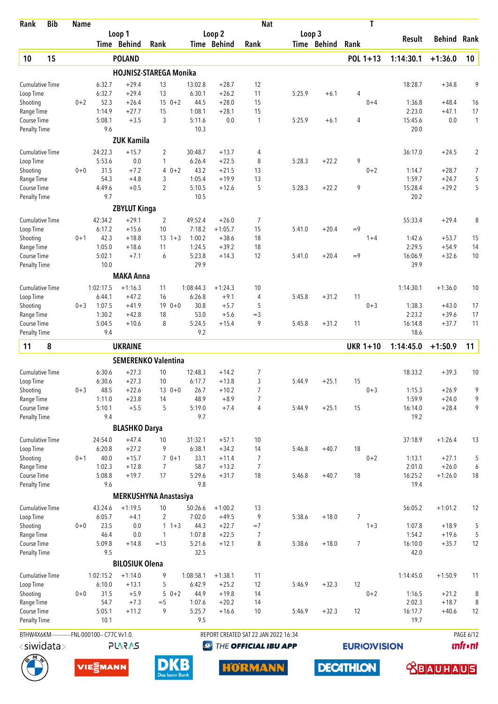| Rank                                | <b>Bib</b>       | <b>Name</b> |                             |                       |                               |                     |                      | <b>Nat</b>                           |        |             | T                   |                   |                    |                 |
|-------------------------------------|------------------|-------------|-----------------------------|-----------------------|-------------------------------|---------------------|----------------------|--------------------------------------|--------|-------------|---------------------|-------------------|--------------------|-----------------|
|                                     |                  |             |                             | Loop 1                |                               |                     | Loop 2               |                                      | Loop 3 |             |                     | <b>Result</b>     | Behind             | Rank            |
|                                     |                  |             |                             | Time Behind           | Rank                          |                     | Time Behind          | Rank                                 |        | Time Behind | Rank                |                   |                    |                 |
| 10                                  | 15               |             |                             | <b>POLAND</b>         |                               |                     |                      |                                      |        |             | POL 1+13            | 1:14:30.1         | $+1:36.0$          | 10              |
|                                     |                  |             |                             |                       | <b>HOJNISZ-STAREGA Monika</b> |                     |                      |                                      |        |             |                     |                   |                    |                 |
| <b>Cumulative Time</b>              |                  |             | 6:32.7                      | $+29.4$               | 13                            | 13:02.8             | $+28.7$              | 12                                   |        |             |                     | 18:28.7           | $+34.8$            | 9               |
| Loop Time<br>Shooting               |                  | $0 + 2$     | 6:32.7<br>52.3              | $+29.4$<br>$+26.4$    | 13<br>$150+2$                 | 6:30.1<br>44.5      | $+26.2$<br>$+28.0$   | 11<br>15                             | 5:25.9 | $+6.1$      | 4<br>$0 + 4$        | 1:36.8            | $+48.4$            | 16              |
| Range Time                          |                  |             | 1:14.9                      | $+27.7$               | 15                            | 1:08.1              | $+28.1$              | 15                                   |        |             |                     | 2:23.0            | $+47.1$            | 17              |
| Course Time                         |                  |             | 5:08.1                      | $+3.5$                | 3                             | 5:11.6              | 0.0                  | 1                                    | 5:25.9 | $+6.1$      | $\overline{4}$      | 15:45.6           | 0.0                | $\mathbf{1}$    |
| Penalty Time                        |                  |             | 9.6                         |                       |                               | 10.3                |                      |                                      |        |             |                     | 20.0              |                    |                 |
|                                     |                  |             |                             | <b>ZUK Kamila</b>     |                               |                     |                      |                                      |        |             |                     |                   |                    |                 |
| <b>Cumulative Time</b>              |                  |             | 24:22.3                     | $+15.7$               | 2                             | 30:48.7             | $+13.7$              | 4                                    |        |             |                     | 36:17.0           | $+24.5$            | $\overline{2}$  |
| Loop Time                           |                  |             | 5:53.6                      | 0.0                   | 1                             | 6:26.4              | $+22.5$              | 8                                    | 5:28.3 | $+22.2$     | 9                   |                   |                    |                 |
| Shooting                            |                  | $0 + 0$     | 31.5                        | $+7.2$                | 4                             | $0 + 2$<br>43.2     | $+21.5$              | 13                                   |        |             | $0 + 2$             | 1:14.7            | $+28.7$            | 7               |
| Range Time<br>Course Time           |                  |             | 54.3<br>4:49.6              | $+4.8$<br>$+0.5$      | 3<br>$\overline{2}$           | 1:05.4<br>5:10.5    | $+19.9$<br>$+12.6$   | 13<br>5                              | 5:28.3 | $+22.2$     | 9                   | 1:59.7<br>15:28.4 | $+24.7$<br>$+29.2$ | 5<br>5          |
| <b>Penalty Time</b>                 |                  |             | 9.7                         |                       |                               | 10.5                |                      |                                      |        |             |                     | 20.2              |                    |                 |
|                                     |                  |             |                             | <b>ZBYLUT Kinga</b>   |                               |                     |                      |                                      |        |             |                     |                   |                    |                 |
| <b>Cumulative Time</b>              |                  |             | 42:34.2                     | $+29.1$               | $\overline{2}$                | 49:52.4             | $+26.0$              | 7                                    |        |             |                     | 55:33.4           | $+29.4$            | 8               |
| Loop Time                           |                  |             | 6:17.2                      | $+15.6$               | 10                            | 7:18.2              | $+1:05.7$            | 15                                   | 5:41.0 | $+20.4$     | $=9$                |                   |                    |                 |
| Shooting                            |                  | $0 + 1$     | 42.3                        | $+18.8$               | $13 \t1+3$                    | 1:00.2              | $+38.6$              | 18                                   |        |             | $1 + 4$             | 1:42.6            | $+53.7$            | 15              |
| Range Time                          |                  |             | 1:05.0                      | $+18.6$               | 11                            | 1:24.5              | $+39.2$              | 18                                   |        |             |                     | 2:29.5            | $+54.9$            | 14              |
| Course Time                         |                  |             | 5:02.1                      | $+7.1$                | 6                             | 5:23.8              | $+14.3$              | 12                                   | 5:41.0 | $+20.4$     | $=9$                | 16:06.9           | $+32.6$            | 10              |
| <b>Penalty Time</b>                 |                  |             | 10.0                        |                       |                               | 29.9                |                      |                                      |        |             |                     | 39.9              |                    |                 |
|                                     |                  |             |                             | <b>MAKA Anna</b>      |                               |                     |                      |                                      |        |             |                     |                   |                    |                 |
| <b>Cumulative Time</b>              |                  |             | 1:02:17.5                   | $+1:16.3$             | 11                            | 1:08:44.3           | $+1:24.3$            | 10                                   |        |             |                     | 1:14:30.1         | $+1:36.0$          | 10              |
| Loop Time                           |                  |             | 6:44.1                      | $+47.2$               | 16                            | 6:26.8              | $+9.1$               | 4                                    | 5:45.8 | $+31.2$     | 11                  |                   |                    |                 |
| Shooting<br>Range Time              |                  | $0 + 3$     | 1:07.5<br>1:30.2            | $+41.9$<br>$+42.8$    | $190+0$<br>18                 | 30.8<br>53.0        | $+5.7$<br>$+5.6$     | 5<br>$=$ 3                           |        |             | $0 + 3$             | 1:38.3<br>2:23.2  | $+43.0$<br>$+39.6$ | 17<br>17        |
| Course Time                         |                  |             | 5:04.5                      | $+10.6$               | 8                             | 5:24.5              | $+15.4$              | 9                                    | 5:45.8 | $+31.2$     | 11                  | 16:14.8           | $+37.7$            | 11              |
| <b>Penalty Time</b>                 |                  |             | 9.4                         |                       |                               | 9.2                 |                      |                                      |        |             |                     | 18.6              |                    |                 |
| 11                                  | 8                |             |                             | <b>UKRAINE</b>        |                               |                     |                      |                                      |        |             | <b>UKR 1+10</b>     | 1:14:45.0         | $+1:50.9$          | 11              |
|                                     |                  |             |                             |                       | <b>SEMERENKO Valentina</b>    |                     |                      |                                      |        |             |                     |                   |                    |                 |
| <b>Cumulative Time</b>              |                  |             | 6:30.6                      | $+27.3$               | 10                            | 12:48.3             | $+14.2$              | 7                                    |        |             |                     | 18:33.2           | $+39.3$            | 10              |
| Loop Time                           |                  |             | 6:30.6                      | $+27.3$               | 10                            | 6:17.7              | $+13.8$              | 3                                    | 5:44.9 | $+25.1$     | 15                  |                   |                    |                 |
| Shooting                            |                  | $0 + 3$     | 48.5                        | $+22.6$               | $130+0$                       | 26.7                | $+10.2$              | 7                                    |        |             | $0 + 3$             | 1:15.3            | $+26.9$            | 9               |
| Range Time                          |                  |             | 1:11.0                      | $+23.8$               | 14                            | 48.9                | $+8.9$               | 7                                    |        |             |                     | 1:59.9            | $+24.0$            | 9               |
| Course Time                         |                  |             | 5:10.1                      | $+5.5$                | 5                             | 5:19.0              | $+7.4$               | 4                                    | 5:44.9 | $+25.1$     | 15                  | 16:14.0           | $+28.4$            | 9               |
| <b>Penalty Time</b>                 |                  |             | 9.4                         |                       |                               | 9.7                 |                      |                                      |        |             |                     | 19.2              |                    |                 |
|                                     |                  |             |                             | <b>BLASHKO Darya</b>  |                               |                     |                      |                                      |        |             |                     |                   |                    |                 |
| <b>Cumulative Time</b>              |                  |             | 24:54.0                     | $+47.4$               | 10                            | 31:32.1             | $+57.1$              | 10                                   |        |             |                     | 37:18.9           | $+1:26.4$          | 13              |
| Loop Time<br>Shooting               |                  | $0 + 1$     | 6:20.8<br>40.0              | $+27.2$<br>$+15.7$    | 9<br>$70+1$                   | 6:38.1<br>33.1      | $+34.2$<br>$+11.4$   | 14<br>7                              | 5:46.8 | $+40.7$     | 18<br>$0 + 2$       | 1:13.1            | $+27.1$            | 5               |
| Range Time                          |                  |             | 1:02.3                      | $+12.8$               | $\overline{7}$                | 58.7                | $+13.2$              | $\overline{7}$                       |        |             |                     | 2:01.0            | $+26.0$            | 6               |
| Course Time                         |                  |             | 5:08.8                      | $+19.7$               | 17                            | 5:29.6              | $+31.7$              | 18                                   | 5:46.8 | $+40.7$     | 18                  | 16:25.2           | $+1:26.0$          | 18              |
| <b>Penalty Time</b>                 |                  |             | 9.6                         |                       |                               | 9.8                 |                      |                                      |        |             |                     | 19.4              |                    |                 |
|                                     |                  |             |                             |                       | MERKUSHYNA Anastasiya         |                     |                      |                                      |        |             |                     |                   |                    |                 |
| <b>Cumulative Time</b>              |                  |             | 43:24.6                     | $+1:19.5$             | 10                            | 50:26.6             | $+1:00.2$            | 13                                   |        |             |                     | 56:05.2           | $+1:01.2$          | 12              |
| Loop Time                           |                  |             | 6:05.7                      | $+4.1$                | 2                             | 7:02.0              | $+49.5$              | 9                                    | 5:38.6 | $+18.0$     | 7                   |                   |                    |                 |
| Shooting                            |                  | $0+0$       | 23.5                        | 0.0                   | $1 \t1+3$                     | 44.3                | $+22.7$              | $=7$                                 |        |             | $1 + 3$             | 1:07.8            | $+18.9$            | 5               |
| Range Time                          |                  |             | 46.4                        | $0.0\,$               | 1                             | 1:07.8              | $+22.5$              | 7                                    |        |             |                     | 1:54.2            | $+19.6$            | 5               |
| Course Time<br><b>Penalty Time</b>  |                  |             | 5:09.8<br>9.5               | $+14.8$               | $=13$                         | 5:21.6<br>32.5      | $+12.1$              | 8                                    | 5:38.6 | $+18.0$     | $\overline{7}$      | 16:10.0<br>42.0   | $+35.7$            | 12              |
|                                     |                  |             |                             | <b>BILOSIUK Olena</b> |                               |                     |                      |                                      |        |             |                     |                   |                    |                 |
|                                     |                  |             |                             |                       |                               |                     |                      |                                      |        |             |                     |                   |                    |                 |
| <b>Cumulative Time</b><br>Loop Time |                  |             | 1:02:15.2<br>6:10.0         | $+1:14.0$<br>$+13.1$  | 9<br>5                        | 1:08:58.1<br>6:42.9 | $+1:38.1$<br>$+25.2$ | 11<br>12                             | 5:46.9 | $+32.3$     | 12                  | 1:14:45.0         | $+1:50.9$          | 11              |
| Shooting                            |                  | $0+0$       | 31.5                        | $+5.9$                | $50+2$                        | 44.9                | $+19.8$              | 14                                   |        |             | $0 + 2$             | 1:16.5            | $+21.2$            | 8               |
| Range Time                          |                  |             | 54.7                        | $+7.3$                | $=$ 5                         | 1:07.6              | $+20.2$              | 14                                   |        |             |                     | 2:02.3            | $+18.7$            | 8               |
| Course Time                         |                  |             | 5:05.1                      | $+11.2$               | 9                             | 5:25.7              | $+16.6$              | 10                                   | 5:46.9 | $+32.3$     | 12                  | 16:17.7           | $+40.6$            | 12              |
| <b>Penalty Time</b>                 |                  |             | 10.1                        |                       |                               | 9.5                 |                      |                                      |        |             |                     | 19.7              |                    |                 |
| BTHW4X6KM-----                      |                  |             | ---FNL-000100-- C77C Vv1.0. |                       |                               |                     |                      | REPORT CREATED SAT 22 JAN 2022 16:34 |        |             |                     |                   |                    | PAGE 6/12       |
|                                     | $<$ siwidata $>$ |             |                             | <b>SV2V7L</b>         |                               |                     | $\bigcirc$           | THE OFFICIAL IBU APP                 |        |             | <b>EURIO)VISION</b> |                   |                    | <b>unfr</b> •nt |
|                                     |                  |             |                             |                       |                               |                     |                      |                                      |        |             |                     |                   |                    |                 |

**DECATHLON** 





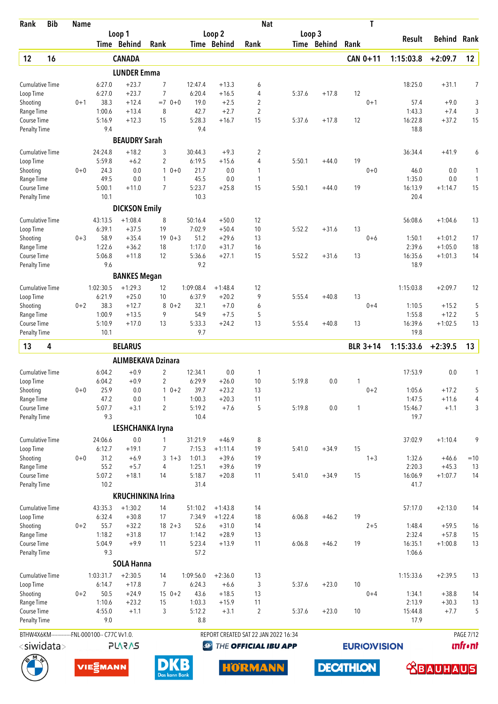| Rank                                | <b>Bib</b>       | <b>Name</b> |                                                |                      |                           |                     |                      | <b>Nat</b>                           |        |             | T                   |                   |                        |                  |
|-------------------------------------|------------------|-------------|------------------------------------------------|----------------------|---------------------------|---------------------|----------------------|--------------------------------------|--------|-------------|---------------------|-------------------|------------------------|------------------|
|                                     |                  |             |                                                | Loop 1               |                           |                     | Loop <sub>2</sub>    |                                      | Loop 3 |             |                     | Result            | Behind                 | Rank             |
|                                     |                  |             |                                                | Time Behind          | Rank                      |                     | Time Behind          | Rank                                 |        | Time Behind | Rank                |                   |                        |                  |
| 12                                  | 16               |             |                                                | <b>CANADA</b>        |                           |                     |                      |                                      |        |             | CAN 0+11            | 1:15:03.8         | $+2:09.7$              | 12               |
|                                     |                  |             |                                                | <b>LUNDER Emma</b>   |                           |                     |                      |                                      |        |             |                     |                   |                        |                  |
| <b>Cumulative Time</b>              |                  |             | 6:27.0                                         | $+23.7$              | 7                         | 12:47.4             | $+13.3$              | 6                                    |        |             |                     | 18:25.0           | $+31.1$                | 7                |
| Loop Time                           |                  |             | 6:27.0                                         | $+23.7$              | $\overline{7}$            | 6:20.4              | $+16.5$              | 4                                    | 5:37.6 | $+17.8$     | 12                  |                   |                        |                  |
| Shooting                            |                  | $0 + 1$     | 38.3                                           | $+12.4$              | $=7$ 0+0                  | 19.0                | $+2.5$               | 2                                    |        |             | $0 + 1$             | 57.4              | $+9.0$                 | 3                |
| Range Time<br>Course Time           |                  |             | 1:00.6<br>5:16.9                               | $+13.4$<br>$+12.3$   | 8<br>15                   | 42.7<br>5:28.3      | $+2.7$<br>$+16.7$    | $\overline{2}$<br>15                 | 5:37.6 | $+17.8$     | 12                  | 1:43.3<br>16:22.8 | $+7.4$<br>$+37.2$      | 3<br>15          |
| <b>Penalty Time</b>                 |                  |             | 9.4                                            |                      |                           | 9.4                 |                      |                                      |        |             |                     | 18.8              |                        |                  |
|                                     |                  |             |                                                | <b>BEAUDRY Sarah</b> |                           |                     |                      |                                      |        |             |                     |                   |                        |                  |
| <b>Cumulative Time</b>              |                  |             | 24:24.8                                        | $+18.2$              | 3                         | 30:44.3             | $+9.3$               | 2                                    |        |             |                     | 36:34.4           | $+41.9$                | 6                |
| Loop Time                           |                  |             | 5:59.8                                         | $+6.2$               | $\overline{2}$            | 6:19.5              | $+15.6$              | 4                                    | 5:50.1 | $+44.0$     | 19                  |                   |                        |                  |
| Shooting                            |                  | $0 + 0$     | 24.3                                           | 0.0                  | $\mathbf{1}$<br>$0 + 0$   | 21.7                | 0.0                  | 1                                    |        |             | $0 + 0$             | 46.0              | 0.0                    | 1                |
| Range Time                          |                  |             | 49.5                                           | 0.0                  | 1                         | 45.5                | 0.0                  | $\mathbf{1}$                         |        |             |                     | 1:35.0            | 0.0                    | $\mathbf{1}$     |
| Course Time                         |                  |             | 5:00.1                                         | $+11.0$              | $\overline{7}$            | 5:23.7              | $+25.8$              | 15                                   | 5:50.1 | $+44.0$     | 19                  | 16:13.9           | $+1:14.7$              | 15               |
| <b>Penalty Time</b>                 |                  |             | 10.1                                           |                      |                           | 10.3                |                      |                                      |        |             |                     | 20.4              |                        |                  |
|                                     |                  |             |                                                | <b>DICKSON Emily</b> |                           |                     |                      |                                      |        |             |                     |                   |                        |                  |
| <b>Cumulative Time</b>              |                  |             | 43:13.5                                        | $+1:08.4$            | 8                         | 50:16.4             | $+50.0$              | 12                                   |        |             |                     | 56:08.6           | $+1:04.6$              | 13               |
| Loop Time                           |                  |             | 6:39.1                                         | $+37.5$              | 19                        | 7:02.9              | $+50.4$              | 10                                   | 5:52.2 | $+31.6$     | 13                  |                   |                        |                  |
| Shooting                            |                  | $0 + 3$     | 58.9                                           | $+35.4$              | $190+3$                   | 51.2                | $+29.6$              | 13                                   |        |             | $0 + 6$             | 1:50.1            | $+1:01.2$              | 17               |
| Range Time<br>Course Time           |                  |             | 1:22.6<br>5:06.8                               | $+36.2$<br>$+11.8$   | 18<br>12                  | 1:17.0<br>5:36.6    | $+31.7$<br>$+27.1$   | 16<br>15                             | 5:52.2 | $+31.6$     | 13                  | 2:39.6<br>16:35.6 | $+1:05.0$<br>$+1:01.3$ | 18<br>14         |
| <b>Penalty Time</b>                 |                  |             | 9.6                                            |                      |                           | 9.2                 |                      |                                      |        |             |                     | 18.9              |                        |                  |
|                                     |                  |             |                                                | <b>BANKES Megan</b>  |                           |                     |                      |                                      |        |             |                     |                   |                        |                  |
|                                     |                  |             |                                                |                      |                           |                     |                      |                                      |        |             |                     |                   |                        |                  |
| <b>Cumulative Time</b><br>Loop Time |                  |             | 1:02:30.5<br>6:21.9                            | $+1:29.3$<br>$+25.0$ | 12<br>10                  | 1:09:08.4<br>6:37.9 | $+1:48.4$<br>$+20.2$ | 12<br>9                              | 5:55.4 | $+40.8$     | 13                  | 1:15:03.8         | $+2:09.7$              | 12               |
| Shooting                            |                  | $0 + 2$     | 38.3                                           | $+12.7$              | $80+2$                    | 32.1                | $+7.0$               | 6                                    |        |             | $0 + 4$             | 1:10.5            | $+15.2$                | 5                |
| Range Time                          |                  |             | 1:00.9                                         | $+13.5$              | 9                         | 54.9                | $+7.5$               | 5                                    |        |             |                     | 1:55.8            | $+12.2$                | 5                |
| Course Time                         |                  |             | 5:10.9                                         | $+17.0$              | 13                        | 5:33.3              | $+24.2$              | 13                                   | 5:55.4 | $+40.8$     | 13                  | 16:39.6           | $+1:02.5$              | 13               |
| <b>Penalty Time</b>                 |                  |             | 10.1                                           |                      |                           | 9.7                 |                      |                                      |        |             |                     | 19.8              |                        |                  |
| 13                                  | 4                |             |                                                | <b>BELARUS</b>       |                           |                     |                      |                                      |        |             | <b>BLR 3+14</b>     | 1:15:33.6         | $+2:39.5$              | 13               |
|                                     |                  |             |                                                |                      | <b>ALIMBEKAVA Dzinara</b> |                     |                      |                                      |        |             |                     |                   |                        |                  |
| <b>Cumulative Time</b>              |                  |             | 6:04.2                                         | $+0.9$               | $\overline{2}$            | 12:34.1             | 0.0                  | 1                                    |        |             |                     | 17:53.9           | 0.0                    | 1                |
| Loop Time                           |                  |             | 6:04.2                                         | $+0.9$               | $\overline{2}$            | 6:29.9              | $+26.0$              | 10                                   | 5:19.8 | 0.0         | 1                   |                   |                        |                  |
| Shooting                            |                  | $0 + 0$     | 25.9                                           | 0.0                  | $10+2$                    | 39.7                | $+23.2$              | 13                                   |        |             | $0 + 2$             | 1:05.6            | $+17.2$                | 5                |
| Range Time                          |                  |             | 47.2                                           | 0.0                  | 1                         | 1:00.3              | $+20.3$              | 11                                   |        |             |                     | 1:47.5            | $+11.6$                | 4                |
| Course Time                         |                  |             | 5:07.7                                         | $+3.1$               | $\overline{2}$            | 5:19.2              | $+7.6$               | 5                                    | 5:19.8 | 0.0         | $\mathbf{1}$        | 15:46.7           | $+1.1$                 | 3                |
| <b>Penalty Time</b>                 |                  |             | 9.3                                            |                      |                           | 10.4                |                      |                                      |        |             |                     | 19.7              |                        |                  |
|                                     |                  |             |                                                |                      | LESHCHANKA Iryna          |                     |                      |                                      |        |             |                     |                   |                        |                  |
| <b>Cumulative Time</b>              |                  |             | 24:06.6                                        | 0.0                  | 1                         | 31:21.9             | $+46.9$              | 8                                    |        |             |                     | 37:02.9           | $+1:10.4$              | 9                |
| Loop Time                           |                  | $0 + 0$     | 6:12.7<br>31.2                                 | $+19.1$              | 7<br>3                    | 7:15.3              | $+1:11.4$<br>$+39.6$ | 19                                   | 5:41.0 | $+34.9$     | 15<br>$1 + 3$       |                   |                        |                  |
| Shooting<br>Range Time              |                  |             | 55.2                                           | $+6.9$<br>$+5.7$     | $1 + 3$<br>4              | 1:01.3<br>1:25.1    | $+39.6$              | 19<br>19                             |        |             |                     | 1:32.6<br>2:20.3  | $+46.6$<br>$+45.3$     | $=10$<br>13      |
| Course Time                         |                  |             | 5:07.2                                         | $+18.1$              | 14                        | 5:18.7              | $+20.8$              | 11                                   | 5:41.0 | $+34.9$     | 15                  | 16:06.9           | $+1:07.7$              | 14               |
| <b>Penalty Time</b>                 |                  |             | 10.2                                           |                      |                           | 31.4                |                      |                                      |        |             |                     | 41.7              |                        |                  |
|                                     |                  |             |                                                |                      | <b>KRUCHINKINA Irina</b>  |                     |                      |                                      |        |             |                     |                   |                        |                  |
| <b>Cumulative Time</b>              |                  |             | 43:35.3                                        | $+1:30.2$            | 14                        | 51:10.2             | $+1:43.8$            | 14                                   |        |             |                     | 57:17.0           | $+2:13.0$              | 14               |
| Loop Time                           |                  |             | 6:32.4                                         | $+30.8$              | 17                        | 7:34.9              | $+1:22.4$            | 18                                   | 6:06.8 | $+46.2$     | 19                  |                   |                        |                  |
| Shooting                            |                  | $0 + 2$     | 55.7                                           | $+32.2$              | $18 \t2+3$                | 52.6                | $+31.0$              | 14                                   |        |             | $2 + 5$             | 1:48.4            | $+59.5$                | 16               |
| Range Time                          |                  |             | 1:18.2                                         | $+31.8$              | 17                        | 1:14.2              | $+28.9$              | 13                                   |        |             |                     | 2:32.4            | $+57.8$                | 15               |
| Course Time                         |                  |             | 5:04.9                                         | $+9.9$               | 11                        | 5:23.4              | $+13.9$              | 11                                   | 6:06.8 | $+46.2$     | 19                  | 16:35.1           | $+1:00.8$              | 13               |
| <b>Penalty Time</b>                 |                  |             | 9.3                                            |                      |                           | 57.2                |                      |                                      |        |             |                     | 1:06.6            |                        |                  |
|                                     |                  |             |                                                | <b>SOLA Hanna</b>    |                           |                     |                      |                                      |        |             |                     |                   |                        |                  |
| <b>Cumulative Time</b>              |                  |             | 1:03:31.7                                      | $+2:30.5$            | 14                        | 1:09:56.0           | $+2:36.0$            | 13                                   |        |             |                     | 1:15:33.6         | $+2:39.5$              | 13               |
| Loop Time                           |                  |             | 6:14.7                                         | $+17.8$              | 7                         | 6:24.3              | $+6.6$               | 3                                    | 5:37.6 | $+23.0$     | 10                  |                   |                        |                  |
| Shooting<br>Range Time              |                  | $0 + 2$     | 50.5<br>1:10.6                                 | $+24.9$<br>$+23.2$   | $150+2$<br>15             | 43.6<br>1:03.3      | $+18.5$<br>$+15.9$   | 13<br>11                             |        |             | $0 + 4$             | 1:34.1<br>2:13.9  | $+38.8$<br>$+30.3$     | 14<br>13         |
| Course Time                         |                  |             | 4:55.0                                         | $+1.1$               | 3                         | 5:12.2              | $+3.1$               | $\overline{2}$                       | 5:37.6 | $+23.0$     | 10                  | 15:44.8           | $+7.7$                 | 5                |
| <b>Penalty Time</b>                 |                  |             | 9.0                                            |                      |                           | 8.8                 |                      |                                      |        |             |                     | 17.9              |                        |                  |
|                                     |                  |             | BTHW4X6KM-------------FNL-000100-- C77C Vv1.0. |                      |                           |                     |                      | REPORT CREATED SAT 22 JAN 2022 16:34 |        |             |                     |                   |                        | <b>PAGE 7/12</b> |
|                                     |                  |             |                                                |                      |                           |                     |                      |                                      |        |             |                     |                   |                        | <b>ınfr•nt</b>   |
|                                     | $<$ siwidata $>$ |             |                                                | <b>SV2V7L</b>        |                           | $\bigcirc$          |                      | THE OFFICIAL IBU APP                 |        |             | <b>EURIO)VISION</b> |                   |                        |                  |

**DECATHLON** 





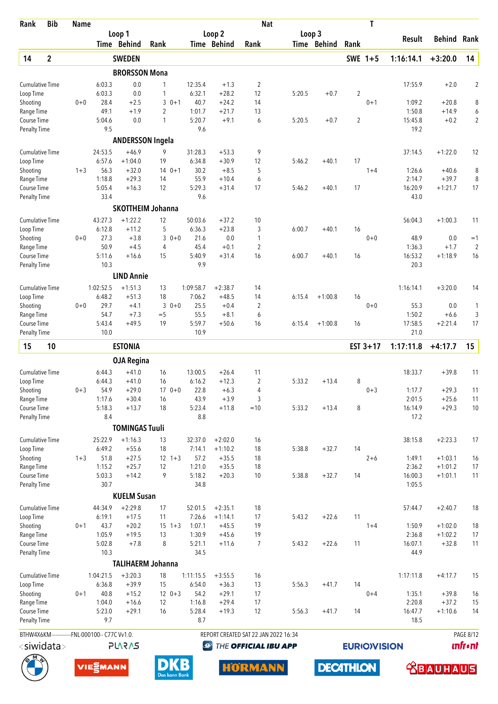| Rank                      | <b>Bib</b>            | <b>Name</b> |                                                |                         |                                |                  |                    | <b>Nat</b>                           |        |             |                | T                   |                   |                      |                        |
|---------------------------|-----------------------|-------------|------------------------------------------------|-------------------------|--------------------------------|------------------|--------------------|--------------------------------------|--------|-------------|----------------|---------------------|-------------------|----------------------|------------------------|
|                           |                       |             |                                                | Loop 1                  |                                |                  | Loop 2             |                                      | Loop 3 |             |                |                     | Result            | <b>Behind Rank</b>   |                        |
|                           |                       |             |                                                | Time Behind             | Rank                           |                  | Time Behind        | Rank                                 |        | Time Behind | Rank           |                     |                   |                      |                        |
| 14                        | $\overline{2}$        |             |                                                | <b>SWEDEN</b>           |                                |                  |                    |                                      |        |             | SWE 1+5        |                     | 1:16:14.1         | $+3:20.0$            | 14                     |
|                           |                       |             |                                                | <b>BRORSSON Mona</b>    |                                |                  |                    |                                      |        |             |                |                     |                   |                      |                        |
| <b>Cumulative Time</b>    |                       |             | 6:03.3                                         | 0.0                     | 1                              | 12:35.4          | $+1.3$             | $\overline{2}$                       |        |             |                |                     | 17:55.9           | $+2.0$               | $\overline{2}$         |
| Loop Time                 |                       |             | 6:03.3                                         | 0.0                     | 1                              | 6:32.1           | $+28.2$            | 12                                   | 5:20.5 | $+0.7$      | $\overline{2}$ |                     |                   |                      |                        |
| Shooting<br>Range Time    |                       | $0 + 0$     | 28.4<br>49.1                                   | $+2.5$<br>$+1.9$        | 3<br>$0 + 1$<br>$\overline{2}$ | 40.7<br>1:01.7   | $+24.2$<br>$+21.7$ | 14<br>13                             |        |             |                | $0 + 1$             | 1:09.2<br>1:50.8  | $+20.8$<br>$+14.9$   | 8<br>6                 |
| Course Time               |                       |             | 5:04.6                                         | 0.0                     | 1                              | 5:20.7           | $+9.1$             | 6                                    | 5:20.5 | $+0.7$      | $\overline{2}$ |                     | 15:45.8           | $+0.2$               | $\overline{2}$         |
| <b>Penalty Time</b>       |                       |             | 9.5                                            |                         |                                | 9.6              |                    |                                      |        |             |                |                     | 19.2              |                      |                        |
|                           |                       |             |                                                | <b>ANDERSSON Ingela</b> |                                |                  |                    |                                      |        |             |                |                     |                   |                      |                        |
| <b>Cumulative Time</b>    |                       |             | 24:53.5                                        | $+46.9$                 | 9                              | 31:28.3          | $+53.3$            | 9                                    |        |             |                |                     | 37:14.5           | $+1:22.0$            | 12                     |
| Loop Time                 |                       |             | 6:57.6                                         | $+1:04.0$               | 19                             | 6:34.8           | $+30.9$            | 12                                   | 5:46.2 | $+40.1$     | 17             |                     |                   |                      |                        |
| Shooting                  |                       | $1 + 3$     | 56.3                                           | $+32.0$                 | $140+1$                        | 30.2             | $+8.5$             | 5                                    |        |             |                | $1 + 4$             | 1:26.6            | $+40.6$              | 8                      |
| Range Time                |                       |             | 1:18.8                                         | $+29.3$                 | 14                             | 55.9             | $+10.4$            | 6                                    |        |             |                |                     | 2:14.7            | $+39.7$              | 8                      |
| Course Time               |                       |             | 5:05.4                                         | $+16.3$                 | 12                             | 5:29.3<br>9.6    | $+31.4$            | 17                                   | 5:46.2 | $+40.1$     | 17             |                     | 16:20.9           | $+1:21.7$            | 17                     |
| <b>Penalty Time</b>       |                       |             | 33.4                                           |                         |                                |                  |                    |                                      |        |             |                |                     | 43.0              |                      |                        |
|                           |                       |             |                                                |                         | <b>SKOTTHEIM Johanna</b>       |                  |                    |                                      |        |             |                |                     |                   |                      |                        |
| <b>Cumulative Time</b>    |                       |             | 43:27.3                                        | $+1:22.2$               | 12                             | 50:03.6          | $+37.2$            | 10                                   |        |             |                |                     | 56:04.3           | $+1:00.3$            | 11                     |
| Loop Time                 |                       |             | 6:12.8<br>27.3                                 | $+11.2$<br>$+3.8$       | 5<br>3                         | 6:36.3<br>21.6   | $+23.8$<br>0.0     | 3                                    | 6:00.7 | $+40.1$     | 16             |                     |                   |                      |                        |
| Shooting<br>Range Time    |                       | $0 + 0$     | 50.9                                           | $+4.5$                  | $0 + 0$<br>4                   | 45.4             | $+0.1$             | 1<br>$\overline{2}$                  |        |             |                | $0+0$               | 48.9<br>1:36.3    | 0.0<br>$+1.7$        | $=1$<br>$\overline{2}$ |
| Course Time               |                       |             | 5:11.6                                         | $+16.6$                 | 15                             | 5:40.9           | $+31.4$            | 16                                   | 6:00.7 | $+40.1$     | 16             |                     | 16:53.2           | $+1:18.9$            | 16                     |
| <b>Penalty Time</b>       |                       |             | 10.3                                           |                         |                                | 9.9              |                    |                                      |        |             |                |                     | 20.3              |                      |                        |
|                           |                       |             |                                                | <b>LIND Annie</b>       |                                |                  |                    |                                      |        |             |                |                     |                   |                      |                        |
| <b>Cumulative Time</b>    |                       |             | 1:02:52.5                                      | $+1:51.3$               | 13                             | 1:09:58.7        | $+2:38.7$          | 14                                   |        |             |                |                     | 1:16:14.1         | $+3:20.0$            | 14                     |
| Loop Time                 |                       |             | 6:48.2                                         | $+51.3$                 | 18                             | 7:06.2           | $+48.5$            | 14                                   | 6:15.4 | $+1:00.8$   | 16             |                     |                   |                      |                        |
| Shooting                  |                       | $0 + 0$     | 29.7                                           | $+4.1$                  | 3<br>$0 + 0$                   | 25.5             | $+0.4$             | 2                                    |        |             |                | $0+0$               | 55.3              | 0.0                  | 1                      |
| Range Time                |                       |             | 54.7                                           | $+7.3$                  | $=$ 5                          | 55.5             | $+8.1$             | 6                                    |        |             |                |                     | 1:50.2            | $+6.6$               | 3                      |
| Course Time               |                       |             | 5:43.4                                         | $+49.5$                 | 19                             | 5:59.7           | $+50.6$            | 16                                   | 6:15.4 | $+1:00.8$   | 16             |                     | 17:58.5           | $+2:21.4$            | 17                     |
| <b>Penalty Time</b>       |                       |             | 10.0                                           |                         |                                | 10.9             |                    |                                      |        |             |                |                     | 21.0              |                      |                        |
| 15                        | 10                    |             |                                                | <b>ESTONIA</b>          |                                |                  |                    |                                      |        |             |                | EST $3+17$          | 1:17:11.8         | $+4:17.7$            | 15                     |
|                           |                       |             |                                                | <b>OJA Regina</b>       |                                |                  |                    |                                      |        |             |                |                     |                   |                      |                        |
| <b>Cumulative Time</b>    |                       |             | 6:44.3                                         | $+41.0$                 | 16                             | 13:00.5          | $+26.4$            | 11                                   |        |             |                |                     | 18:33.7           | $+39.8$              | 11                     |
| Loop Time                 |                       |             | 6:44.3                                         | $+41.0$                 | 16                             | 6:16.2           | $+12.3$            | 2                                    | 5:33.2 | $+13.4$     | 8              |                     |                   |                      |                        |
| Shooting                  |                       | $0 + 3$     | 54.9                                           | $+29.0$                 | $170+0$                        | 22.8             | $+6.3$             | 4                                    |        |             |                | $0 + 3$             | 1:17.7            | $+29.3$              | 11                     |
| Range Time<br>Course Time |                       |             | 1:17.6<br>5:18.3                               | $+30.4$<br>$+13.7$      | 16<br>18                       | 43.9<br>5:23.4   | $+3.9$<br>$+11.8$  | 3<br>$=10$                           | 5:33.2 | $+13.4$     | 8              |                     | 2:01.5<br>16:14.9 | $+25.6$<br>$+29.3$   | 11<br>10               |
| Penalty Time              |                       |             | 8.4                                            |                         |                                | 8.8              |                    |                                      |        |             |                |                     | 17.2              |                      |                        |
|                           |                       |             |                                                | <b>TOMINGAS Tuuli</b>   |                                |                  |                    |                                      |        |             |                |                     |                   |                      |                        |
| <b>Cumulative Time</b>    |                       |             | 25:22.9                                        | $+1:16.3$               | 13                             | 32:37.0          | $+2:02.0$          | 16                                   |        |             |                |                     | 38:15.8           | $+2:23.3$            | 17                     |
| Loop Time                 |                       |             | 6:49.2                                         | $+55.6$                 | 18                             | 7:14.1           | $+1:10.2$          | 18                                   | 5:38.8 | $+32.7$     | 14             |                     |                   |                      |                        |
| Shooting                  |                       | $1 + 3$     | 51.8                                           | $+27.5$                 | $12 + 3$                       | 57.2             | $+35.5$            | 18                                   |        |             |                | $2 + 6$             | 1:49.1            | $+1:03.1$            | 16                     |
| Range Time                |                       |             | 1:15.2                                         | $+25.7$                 | 12                             | 1:21.0           | $+35.5$            | 18                                   |        |             |                |                     | 2:36.2            | $+1:01.2$            | 17                     |
| Course Time               |                       |             | 5:03.3                                         | $+14.2$                 | 9                              | 5:18.2           | $+20.3$            | 10                                   | 5:38.8 | $+32.7$     | 14             |                     | 16:00.3           | $+1:01.1$            | 11                     |
| <b>Penalty Time</b>       |                       |             | 30.7                                           |                         |                                | 34.8             |                    |                                      |        |             |                |                     | 1:05.5            |                      |                        |
|                           |                       |             |                                                | <b>KUELM Susan</b>      |                                |                  |                    |                                      |        |             |                |                     |                   |                      |                        |
| <b>Cumulative Time</b>    |                       |             | 44:34.9                                        | $+2:29.8$               | 17                             | 52:01.5          | $+2:35.1$          | 18                                   |        |             |                |                     | 57:44.7           | $+2:40.7$            | 18                     |
| Loop Time                 |                       |             | 6:19.1                                         | $+17.5$                 | 11                             | 7:26.6           | $+1:14.1$          | 17                                   | 5:43.2 | $+22.6$     | 11             |                     |                   |                      |                        |
| Shooting                  |                       | $0 + 1$     | 43.7                                           | $+20.2$                 | $15 \t1+3$                     | 1:07.1           | $+45.5$            | 19                                   |        |             |                | $1+4$               | 1:50.9            | $+1:02.0$            | 18                     |
| Range Time<br>Course Time |                       |             | 1:05.9<br>5:02.8                               | $+19.5$<br>$+7.8$       | 13<br>8                        | 1:30.9<br>5:21.1 | $+45.6$<br>$+11.6$ | 19<br>$\overline{7}$                 | 5:43.2 | $+22.6$     | 11             |                     | 2:36.8<br>16:07.1 | $+1:02.2$<br>$+32.8$ | 17<br>11               |
| <b>Penalty Time</b>       |                       |             | 10.3                                           |                         |                                | 34.5             |                    |                                      |        |             |                |                     | 44.9              |                      |                        |
|                           |                       |             |                                                |                         | <b>TALIHAERM Johanna</b>       |                  |                    |                                      |        |             |                |                     |                   |                      |                        |
| <b>Cumulative Time</b>    |                       |             | 1:04:21.5                                      | $+3:20.3$               | 18                             | 1:11:15.5        | $+3:55.5$          | 16                                   |        |             |                |                     | 1:17:11.8         | $+4:17.7$            | 15                     |
| Loop Time                 |                       |             | 6:36.8                                         | $+39.9$                 | 15                             | 6:54.0           | $+36.3$            | 13                                   | 5:56.3 | $+41.7$     | 14             |                     |                   |                      |                        |
| Shooting                  |                       | $0 + 1$     | 40.8                                           | $+15.2$                 | $12 \t 0+3$                    | 54.2             | $+29.1$            | 17                                   |        |             |                | $0 + 4$             | 1:35.1            | $+39.8$              | 16                     |
| Range Time                |                       |             | 1:04.0                                         | $+16.6$                 | 12                             | 1:16.8           | $+29.4$            | 17                                   |        |             |                |                     | 2:20.8            | $+37.2$              | 15                     |
| Course Time               |                       |             | 5:23.0                                         | $+29.1$                 | 16                             | 5:28.4           | $+19.3$            | 12                                   | 5:56.3 | $+41.7$     | 14             |                     | 16:47.7           | $+1:10.6$            | 14                     |
| <b>Penalty Time</b>       |                       |             | 9.7                                            |                         |                                | 8.7              |                    |                                      |        |             |                |                     | 18.5              |                      |                        |
|                           |                       |             | BTHW4X6KM-------------FNL-000100-- C77C Vv1.0. |                         |                                |                  |                    | REPORT CREATED SAT 22 JAN 2022 16:34 |        |             |                |                     |                   |                      | <b>PAGE 8/12</b>       |
|                           |                       |             |                                                | <b>PLARAS</b>           |                                | $\bigcirc$       |                    | THE OFFICIAL IBU APP                 |        |             |                | <b>EURIO)VISION</b> |                   |                      | <b>unfr</b> •nt        |
|                           | <siwidata></siwidata> |             |                                                |                         |                                |                  |                    |                                      |        |             |                |                     |                   |                      |                        |









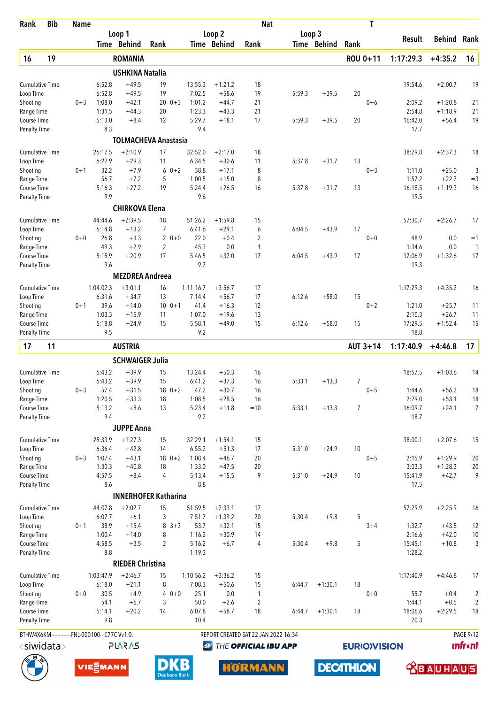| Rank                                | <b>Bib</b>                                     | <b>Name</b> |                   |                             |                     |             |                   |                        | <b>Nat</b>                           |        |             | T                  |                   |                      |                                  |
|-------------------------------------|------------------------------------------------|-------------|-------------------|-----------------------------|---------------------|-------------|-------------------|------------------------|--------------------------------------|--------|-------------|--------------------|-------------------|----------------------|----------------------------------|
|                                     |                                                |             |                   | Loop 1<br>Time Behind       | Rank                |             |                   | Loop 2<br>Time Behind  | Rank                                 | Loop 3 | Time Behind | Rank               | Result            | Behind               | Rank                             |
| 16                                  | 19                                             |             |                   | <b>ROMANIA</b>              |                     |             |                   |                        |                                      |        |             | ROU 0+11           | 1:17:29.3         | $+4:35.2$            | 16                               |
|                                     |                                                |             |                   | <b>USHKINA Natalia</b>      |                     |             |                   |                        |                                      |        |             |                    |                   |                      |                                  |
| <b>Cumulative Time</b>              |                                                |             | 6:52.8            | $+49.5$                     | 19                  |             | 13:55.3           | $+1:21.2$              | 18                                   |        |             |                    | 19:54.6           | $+2:00.7$            | 19                               |
| Loop Time                           |                                                |             | 6:52.8            | $+49.5$                     | 19                  |             | 7:02.5            | $+58.6$                | 19                                   | 5:59.3 | $+39.5$     | 20                 |                   |                      |                                  |
| Shooting                            |                                                | $0 + 3$     | 1:08.0            | $+42.1$                     |                     | $200 + 3$   | 1:01.2            | $+44.7$                | 21                                   |        |             | $0 + 6$            | 2:09.2            | $+1:20.8$            | 21                               |
| Range Time                          |                                                |             | 1:31.5            | $+44.3$                     | 20                  |             | 1:23.3            | $+43.3$                | 21                                   |        |             |                    | 2:54.8            | $+1:18.9$            | 21                               |
| Course Time<br><b>Penalty Time</b>  |                                                |             | 5:13.0<br>8.3     | $+8.4$                      | 12                  |             | 5:29.7<br>9.4     | $+18.1$                | 17                                   | 5:59.3 | $+39.5$     | 20                 | 16:42.0<br>17.7   | $+56.4$              | 19                               |
|                                     |                                                |             |                   | <b>TOLMACHEVA Anastasia</b> |                     |             |                   |                        |                                      |        |             |                    |                   |                      |                                  |
|                                     |                                                |             |                   |                             |                     |             |                   |                        |                                      |        |             |                    |                   |                      |                                  |
| <b>Cumulative Time</b><br>Loop Time |                                                |             | 26:17.5<br>6:22.9 | $+2:10.9$<br>$+29.3$        | 17<br>11            |             | 32:52.0<br>6:34.5 | $+2:17.0$<br>$+30.6$   | 18<br>11                             | 5:37.8 | $+31.7$     | 13                 | 38:29.8           | $+2:37.3$            | 18                               |
| Shooting                            |                                                | $0 + 1$     | 32.2              | $+7.9$                      |                     | $60+2$      | 38.8              | $+17.1$                | 8                                    |        |             | $0 + 3$            | 1:11.0            | $+25.0$              | 3                                |
| Range Time                          |                                                |             | 56.7              | $+7.2$                      | 5                   |             | 1:00.5            | $+15.0$                | 8                                    |        |             |                    | 1:57.2            | $+22.2$              | $=$ 3                            |
| Course Time                         |                                                |             | 5:16.3            | $+27.2$                     | 19                  |             | 5:24.4            | $+26.5$                | 16                                   | 5:37.8 | $+31.7$     | 13                 | 16:18.5           | $+1:19.3$            | 16                               |
| <b>Penalty Time</b>                 |                                                |             | 9.9               |                             |                     |             | 9.6               |                        |                                      |        |             |                    | 19.5              |                      |                                  |
|                                     |                                                |             |                   | <b>CHIRKOVA Elena</b>       |                     |             |                   |                        |                                      |        |             |                    |                   |                      |                                  |
| <b>Cumulative Time</b>              |                                                |             | 44:44.6           | $+2:39.5$                   | 18                  |             | 51:26.2           | $+1:59.8$              | 15                                   |        |             |                    | 57:30.7           | $+2:26.7$            | 17                               |
| Loop Time                           |                                                |             | 6:14.8<br>26.8    | $+13.2$<br>$+3.3$           | 7<br>$\overline{2}$ |             | 6:41.6<br>22.0    | $+29.1$<br>$+0.4$      | 6<br>2                               | 6:04.5 | $+43.9$     | 17                 | 48.9              |                      | $=1$                             |
| Shooting<br>Range Time              |                                                | $0 + 0$     | 49.3              | $+2.9$                      | $\overline{c}$      | $0 + 0$     | 45.3              | 0.0                    | $\mathbf{1}$                         |        |             | $0 + 0$            | 1:34.6            | 0.0<br>0.0           | $\mathbf{1}$                     |
| Course Time                         |                                                |             | 5:15.9            | $+20.9$                     | 17                  |             | 5:46.5            | $+37.0$                | 17                                   | 6:04.5 | $+43.9$     | 17                 | 17:06.9           | $+1:32.6$            | 17                               |
| <b>Penalty Time</b>                 |                                                |             | 9.6               |                             |                     |             | 9.7               |                        |                                      |        |             |                    | 19.3              |                      |                                  |
|                                     |                                                |             |                   | <b>MEZDREA Andreea</b>      |                     |             |                   |                        |                                      |        |             |                    |                   |                      |                                  |
| <b>Cumulative Time</b>              |                                                |             | 1:04:02.3         | $+3:01.1$                   | 16                  |             | 1:11:16.7         | $+3:56.7$              | 17                                   |        |             |                    | 1:17:29.3         | $+4:35.2$            | 16                               |
| Loop Time                           |                                                |             | 6:31.6            | $+34.7$                     | 13                  |             | 7:14.4            | $+56.7$                | 17                                   | 6:12.6 | $+58.0$     | 15                 |                   |                      |                                  |
| Shooting                            |                                                | $0 + 1$     | 39.6              | $+14.0$                     | 10 <sup>°</sup>     | $0 + 1$     | 41.4              | $+16.3$                | 12                                   |        |             | $0 + 2$            | 1:21.0            | $+25.7$              | 11                               |
| Range Time<br>Course Time           |                                                |             | 1:03.3<br>5:18.8  | $+15.9$<br>$+24.9$          | 11<br>15            |             | 1:07.0<br>5:58.1  | $+19.6$<br>$+49.0$     | 13<br>15                             | 6:12.6 | $+58.0$     | 15                 | 2:10.3<br>17:29.5 | $+26.7$<br>$+1:52.4$ | 11<br>15                         |
| <b>Penalty Time</b>                 |                                                |             | 9.5               |                             |                     |             | 9.2               |                        |                                      |        |             |                    | 18.8              |                      |                                  |
| 17                                  | 11                                             |             |                   | <b>AUSTRIA</b>              |                     |             |                   |                        |                                      |        |             | AUT 3+14           | 1:17:40.9         | $+4:46.8$            | 17                               |
|                                     |                                                |             |                   | <b>SCHWAIGER Julia</b>      |                     |             |                   |                        |                                      |        |             |                    |                   |                      |                                  |
| <b>Cumulative Time</b>              |                                                |             | 6:43.2            | $+39.9$                     | 15                  |             | 13:24.4           | $+50.3$                | 16                                   |        |             |                    | 18:57.5           | $+1:03.6$            | 14                               |
| Loop Time                           |                                                |             | 6:43.2            | $+39.9$                     | 15                  |             | 6:41.2            | $+37.3$                | 16                                   | 5:33.1 | $+13.3$     | 7                  |                   |                      |                                  |
| Shooting                            |                                                | $0 + 3$     | 57.4              | $+31.5$                     |                     | $18 \t 0+2$ | 47.2              | $+30.7$                | 16                                   |        |             | $0 + 5$            | 1:44.6            | $+56.2$              | 18                               |
| Range Time                          |                                                |             | 1:20.5            | $+33.3$                     | 18                  |             | 1:08.5            | $+28.5$                | 16                                   |        |             |                    | 2:29.0            | $+53.1$              | $18\,$                           |
| Course Time<br><b>Penalty Time</b>  |                                                |             | 5:13.2<br>9.4     | $+8.6$                      | 13                  |             | 5:23.4<br>9.2     | $+11.8$                | $=10$                                | 5:33.1 | $+13.3$     | 7                  | 16:09.7<br>18.7   | $+24.1$              | $\overline{7}$                   |
|                                     |                                                |             |                   | <b>JUPPE Anna</b>           |                     |             |                   |                        |                                      |        |             |                    |                   |                      |                                  |
|                                     |                                                |             |                   | $+1:27.3$                   |                     |             |                   |                        |                                      |        |             |                    |                   |                      |                                  |
| <b>Cumulative Time</b><br>Loop Time |                                                |             | 25:33.9<br>6:36.4 | $+42.8$                     | 15<br>14            |             | 32:29.1<br>6:55.2 | $+1:54.1$<br>$+51.3$   | 15<br>17                             | 5:31.0 | $+24.9$     | 10                 | 38:00.1           | $+2:07.6$            | 15                               |
| Shooting                            |                                                | $0 + 3$     | 1:07.4            | $+43.1$                     |                     | $18 \t 0+2$ | 1:08.4            | $+46.7$                | 20                                   |        |             | $0 + 5$            | 2:15.9            | $+1:29.9$            | 20                               |
| Range Time                          |                                                |             | 1:30.3            | $+40.8$                     | 18                  |             | 1:33.0            | $+47.5$                | 20                                   |        |             |                    | 3:03.3            | $+1:28.3$            | 20                               |
| Course Time                         |                                                |             | 4:57.5            | $+8.4$                      | 4                   |             | 5:13.4            | $+15.5$                | 9                                    | 5:31.0 | $+24.9$     | 10                 | 15:41.9           | $+42.7$              | 9                                |
| <b>Penalty Time</b>                 |                                                |             | 8.6               |                             |                     |             | 8.8               |                        |                                      |        |             |                    | 17.5              |                      |                                  |
|                                     |                                                |             |                   | <b>INNERHOFER Katharina</b> |                     |             |                   |                        |                                      |        |             |                    |                   |                      |                                  |
| <b>Cumulative Time</b>              |                                                |             | 44:07.8<br>6:07.7 | $+2:02.7$<br>$+6.1$         | 15<br>3             |             | 51:59.5<br>7:51.7 | $+2:33.1$<br>$+1:39.2$ | 17<br>20                             | 5:30.4 | $+9.8$      | 5                  | 57:29.9           | $+2:25.9$            | 16                               |
| Loop Time<br>Shooting               |                                                | $0 + 1$     | 38.9              | $+15.4$                     | 8                   | $3 + 3$     | 53.7              | $+32.1$                | 15                                   |        |             | $3 + 4$            | 1:32.7            | $+43.8$              | 12                               |
| Range Time                          |                                                |             | 1:00.4            | $+14.0$                     | 8                   |             | 1:16.2            | $+30.9$                | 14                                   |        |             |                    | 2:16.6            | $+42.0$              | 10                               |
| Course Time                         |                                                |             | 4:58.5            | $+3.5$                      | $\overline{c}$      |             | 5:16.2            | $+6.7$                 | 4                                    | 5:30.4 | $+9.8$      | 5                  | 15:45.1           | $+10.8$              | 3                                |
| <b>Penalty Time</b>                 |                                                |             | 8.8               |                             |                     |             | 1:19.3            |                        |                                      |        |             |                    | 1:28.2            |                      |                                  |
|                                     |                                                |             |                   | <b>RIEDER Christina</b>     |                     |             |                   |                        |                                      |        |             |                    |                   |                      |                                  |
| <b>Cumulative Time</b>              |                                                |             | 1:03:47.9         | $+2:46.7$                   | 15                  |             | 1:10:56.2         | $+3:36.2$              | 15                                   |        |             |                    | 1:17:40.9         | $+4:46.8$            | 17                               |
| Loop Time                           |                                                |             | 6:18.0            | $+21.1$                     | 8                   |             | 7:08.3            | $+50.6$                | 15                                   | 6:44.7 | $+1:30.1$   | 18                 |                   |                      |                                  |
| Shooting<br>Range Time              |                                                | $0 + 0$     | 30.5<br>54.1      | $+4.9$<br>$+6.7$            | 3                   | $40+0$      | 25.1<br>50.0      | 0.0<br>$+2.6$          | 1<br>$\overline{2}$                  |        |             | $0 + 0$            | 55.7<br>1:44.1    | $+0.4$<br>$+0.5$     | $\overline{c}$<br>$\overline{2}$ |
| Course Time                         |                                                |             | 5:14.1            | $+20.2$                     | 14                  |             | 6:07.8            | $+58.7$                | 18                                   | 6:44.7 | $+1:30.1$   | 18                 | 18:06.6           | $+2:29.5$            | 18                               |
| <b>Penalty Time</b>                 |                                                |             | 9.8               |                             |                     |             | 10.4              |                        |                                      |        |             |                    | 20.3              |                      |                                  |
|                                     | BTHW4X6KM-------------FNL-000100-- C77C Vv1.0. |             |                   |                             |                     |             |                   |                        | REPORT CREATED SAT 22 JAN 2022 16:34 |        |             |                    |                   |                      | PAGE 9/12                        |
|                                     | <siwidata></siwidata>                          |             |                   | <b>PLARAS</b>               |                     |             | $\bigcirc$        |                        | THE OFFICIAL IBU APP                 |        |             | <b>EURIOVISION</b> |                   |                      | <b>unfr</b> •nt                  |
|                                     |                                                |             |                   |                             |                     |             |                   |                        |                                      |        |             |                    |                   |                      |                                  |

**DECATHLON** 





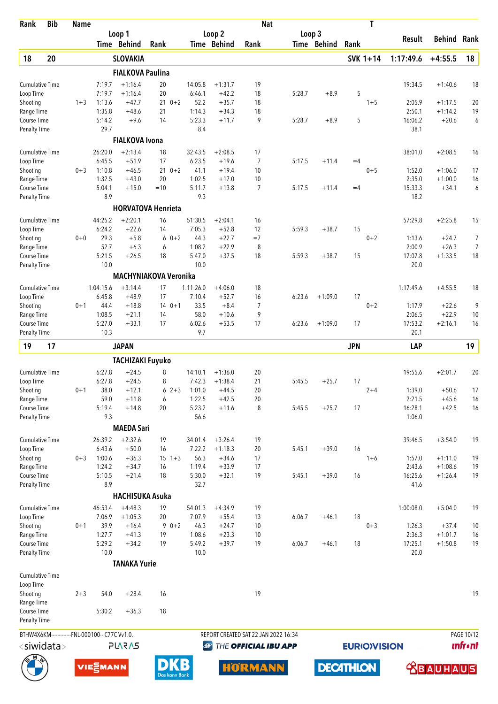| Rank                                | <b>Bib</b> | <b>Name</b> |                                                |                              |            |               |                     |                      | <b>Nat</b>                           |        |                  |            | T                  |                   |                      |                |
|-------------------------------------|------------|-------------|------------------------------------------------|------------------------------|------------|---------------|---------------------|----------------------|--------------------------------------|--------|------------------|------------|--------------------|-------------------|----------------------|----------------|
|                                     |            |             |                                                | Loop 1                       |            |               |                     | Loop <sub>2</sub>    |                                      | Loop 3 |                  |            |                    | Result            | Behind               | Rank           |
|                                     |            |             |                                                | Time Behind                  | Rank       |               |                     | Time Behind          | Rank                                 |        | Time Behind      | Rank       |                    |                   |                      |                |
| 18                                  | 20         |             |                                                | <b>SLOVAKIA</b>              |            |               |                     |                      |                                      |        |                  |            | SVK 1+14           | 1:17:49.6         | $+4:55.5$            | 18             |
|                                     |            |             |                                                | <b>FIALKOVA Paulina</b>      |            |               |                     |                      |                                      |        |                  |            |                    |                   |                      |                |
| <b>Cumulative Time</b>              |            |             | 7:19.7                                         | $+1:16.4$                    | 20         |               | 14:05.8             | $+1:31.7$            | 19                                   |        |                  |            |                    | 19:34.5           | $+1:40.6$            | 18             |
| Loop Time                           |            |             | 7:19.7                                         | $+1:16.4$                    | 20         |               | 6:46.1              | $+42.2$              | 18                                   | 5:28.7 | $+8.9$           | 5          |                    |                   |                      |                |
| Shooting                            |            | $1 + 3$     | 1:13.6<br>1:35.8                               | $+47.7$                      | $210+2$    |               | 52.2<br>1:14.3      | $+35.7$              | 18<br>18                             |        |                  |            | $1 + 5$            | 2:05.9            | $+1:17.5$            | 20             |
| Range Time<br>Course Time           |            |             | 5:14.2                                         | $+48.6$<br>$+9.6$            | 21<br>14   |               | 5:23.3              | $+34.3$<br>$+11.7$   | 9                                    | 5:28.7 | $+8.9$           | 5          |                    | 2:50.1<br>16:06.2 | $+1:14.2$<br>$+20.6$ | 19<br>6        |
| <b>Penalty Time</b>                 |            |             | 29.7                                           |                              |            |               | 8.4                 |                      |                                      |        |                  |            |                    | 38.1              |                      |                |
|                                     |            |             |                                                | <b>FIALKOVA Ivona</b>        |            |               |                     |                      |                                      |        |                  |            |                    |                   |                      |                |
| <b>Cumulative Time</b>              |            |             | 26:20.0                                        | $+2:13.4$                    | 18         |               | 32:43.5             | $+2:08.5$            | 17                                   |        |                  |            |                    | 38:01.0           | $+2:08.5$            | 16             |
| Loop Time                           |            |             | 6:45.5                                         | $+51.9$                      | 17         |               | 6:23.5              | $+19.6$              | 7                                    | 5:17.5 | $+11.4$          | $=4$       |                    |                   |                      |                |
| Shooting                            |            | $0 + 3$     | 1:10.8                                         | $+46.5$                      | $210+2$    |               | 41.1                | $+19.4$              | 10                                   |        |                  |            | $0 + 5$            | 1:52.0            | $+1:06.0$            | 17             |
| Range Time                          |            |             | 1:32.5                                         | $+43.0$                      | 20         |               | 1:02.5              | $+17.0$              | 10                                   |        |                  |            |                    | 2:35.0            | $+1:00.0$            | 16             |
| Course Time<br><b>Penalty Time</b>  |            |             | 5:04.1<br>8.9                                  | $+15.0$                      | $=10$      |               | 5:11.7<br>9.3       | $+13.8$              | $\overline{7}$                       | 5:17.5 | $+11.4$          | $=4$       |                    | 15:33.3<br>18.2   | $+34.1$              | 6              |
|                                     |            |             |                                                | <b>HORVATOVA Henrieta</b>    |            |               |                     |                      |                                      |        |                  |            |                    |                   |                      |                |
| <b>Cumulative Time</b>              |            |             | 44:25.2                                        | $+2:20.1$                    | 16         |               | 51:30.5             | $+2:04.1$            | 16                                   |        |                  |            |                    | 57:29.8           | $+2:25.8$            | 15             |
| Loop Time                           |            |             | 6:24.2                                         | $+22.6$                      | 14         |               | 7:05.3              | $+52.8$              | 12                                   | 5:59.3 | $+38.7$          | 15         |                    |                   |                      |                |
| Shooting                            |            | $0 + 0$     | 29.3                                           | $+5.8$                       | 6          | $0 + 2$       | 44.3                | $+22.7$              | $=7$                                 |        |                  |            | $0 + 2$            | 1:13.6            | $+24.7$              | 7              |
| Range Time                          |            |             | 52.7                                           | $+6.3$                       | 6          |               | 1:08.2              | $+22.9$              | 8                                    |        |                  |            |                    | 2:00.9            | $+26.3$              | $\overline{7}$ |
| Course Time                         |            |             | 5:21.5                                         | $+26.5$                      | 18         |               | 5:47.0              | $+37.5$              | 18                                   | 5:59.3 | $+38.7$          | 15         |                    | 17:07.8           | $+1:33.5$            | 18             |
| <b>Penalty Time</b>                 |            |             | 10.0                                           |                              |            |               | 10.0                |                      |                                      |        |                  |            |                    | 20.0              |                      |                |
|                                     |            |             |                                                | <b>MACHYNIAKOVA Veronika</b> |            |               |                     |                      |                                      |        |                  |            |                    |                   |                      |                |
| <b>Cumulative Time</b><br>Loop Time |            |             | 1:04:15.6<br>6:45.8                            | $+3:14.4$<br>$+48.9$         | 17<br>17   |               | 1:11:26.0<br>7:10.4 | $+4:06.0$<br>$+52.7$ | 18<br>16                             | 6:23.6 | $+1:09.0$        | 17         |                    | 1:17:49.6         | $+4:55.5$            | 18             |
| Shooting                            |            | $0 + 1$     | 44.4                                           | $+18.8$                      | $140+1$    |               | 33.5                | $+8.4$               | $\overline{7}$                       |        |                  |            | $0 + 2$            | 1:17.9            | $+22.6$              | 9              |
| Range Time                          |            |             | 1:08.5                                         | $+21.1$                      | 14         |               | 58.0                | $+10.6$              | 9                                    |        |                  |            |                    | 2:06.5            | $+22.9$              | 10             |
| Course Time                         |            |             | 5:27.0                                         | $+33.1$                      | 17         |               | 6:02.6              | $+53.5$              | 17                                   | 6:23.6 | $+1:09.0$        | 17         |                    | 17:53.2           | $+2:16.1$            | 16             |
| <b>Penalty Time</b>                 |            |             | 10.3                                           |                              |            |               | 9.7                 |                      |                                      |        |                  |            |                    | 20.1              |                      |                |
| 19                                  | 17         |             |                                                | <b>JAPAN</b>                 |            |               |                     |                      |                                      |        |                  | <b>JPN</b> |                    | LAP               |                      | 19             |
|                                     |            |             |                                                | <b>TACHIZAKI Fuyuko</b>      |            |               |                     |                      |                                      |        |                  |            |                    |                   |                      |                |
| <b>Cumulative Time</b>              |            |             | 6:27.8                                         | $+24.5$                      | 8          |               | 14:10.1             | $+1:36.0$            | 20                                   |        |                  |            |                    | 19:55.6           | $+2:01.7$            | 20             |
| Loop Time                           |            |             | 6:27.8                                         | $+24.5$                      | 8          |               | 7:42.3              | $+1:38.4$            | 21                                   | 5:45.5 | $+25.7$          | 17         |                    |                   |                      |                |
| Shooting                            |            | 0+1         | 38.0                                           | $+12.1$                      | $62+3$     |               | 1:01.0              | $+44.5$              | 20                                   |        |                  |            | $2 + 4$            | 1:39.0            | $+50.6$              | 17             |
| Range Time<br>Course Time           |            |             | 59.0<br>5:19.4                                 | $+11.8$<br>$+14.8$           | 6<br>20    |               | 1:22.5<br>5:23.2    | $+42.5$<br>$+11.6$   | 20<br>8                              | 5:45.5 | $+25.7$          | 17         |                    | 2:21.5<br>16:28.1 | $+45.6$<br>$+42.5$   | 16<br>16       |
| <b>Penalty Time</b>                 |            |             | 9.3                                            |                              |            |               | 56.6                |                      |                                      |        |                  |            |                    | 1:06.0            |                      |                |
|                                     |            |             |                                                | <b>MAEDA Sari</b>            |            |               |                     |                      |                                      |        |                  |            |                    |                   |                      |                |
| <b>Cumulative Time</b>              |            |             | 26:39.2                                        | $+2:32.6$                    | 19         |               | 34:01.4             | $+3:26.4$            | 19                                   |        |                  |            |                    | 39:46.5           | $+3:54.0$            | 19             |
| Loop Time                           |            |             | 6:43.6                                         | $+50.0$                      | 16         |               | 7:22.2              | $+1:18.3$            | 20                                   | 5:45.1 | $+39.0$          | 16         |                    |                   |                      |                |
| Shooting                            |            | $0 + 3$     | 1:00.6                                         | $+36.3$                      | $15 \t1+3$ |               | 56.3                | $+34.6$              | 17                                   |        |                  |            | $1 + 6$            | 1:57.0            | $+1:11.0$            | 19             |
| Range Time                          |            |             | 1:24.2                                         | $+34.7$                      | 16         |               | 1:19.4              | $+33.9$              | 17                                   |        |                  |            |                    | 2:43.6            | $+1:08.6$            | 19             |
| Course Time                         |            |             | 5:10.5<br>8.9                                  | $+21.4$                      | 18         |               | 5:30.0<br>32.7      | $+32.1$              | 19                                   | 5:45.1 | $+39.0$          | 16         |                    | 16:25.6           | $+1:26.4$            | 19             |
| <b>Penalty Time</b>                 |            |             |                                                | <b>HACHISUKA Asuka</b>       |            |               |                     |                      |                                      |        |                  |            |                    | 41.6              |                      |                |
| <b>Cumulative Time</b>              |            |             | 46:53.4                                        | $+4:48.3$                    | 19         |               | 54:01.3             | $+4:34.9$            | 19                                   |        |                  |            |                    | 1:00:08.0         | $+5:04.0$            | 19             |
| Loop Time                           |            |             | 7:06.9                                         | $+1:05.3$                    | 20         |               | 7:07.9              | $+55.4$              | 13                                   | 6:06.7 | $+46.1$          | 18         |                    |                   |                      |                |
| Shooting                            |            | $0 + 1$     | 39.9                                           | $+16.4$                      | $90+2$     |               | 46.3                | $+24.7$              | 10                                   |        |                  |            | $0 + 3$            | 1:26.3            | $+37.4$              | 10             |
| Range Time                          |            |             | 1:27.7                                         | $+41.3$                      | 19         |               | 1:08.6              | $+23.3$              | 10                                   |        |                  |            |                    | 2:36.3            | $+1:01.7$            | 16             |
| Course Time                         |            |             | 5:29.2                                         | $+34.2$                      | 19         |               | 5:49.2              | $+39.7$              | 19                                   | 6:06.7 | $+46.1$          | 18         |                    | 17:25.1           | $+1:50.8$            | 19             |
| <b>Penalty Time</b>                 |            |             | 10.0                                           |                              |            |               | 10.0                |                      |                                      |        |                  |            |                    | 20.0              |                      |                |
|                                     |            |             |                                                | <b>TANAKA Yurie</b>          |            |               |                     |                      |                                      |        |                  |            |                    |                   |                      |                |
| <b>Cumulative Time</b>              |            |             |                                                |                              |            |               |                     |                      |                                      |        |                  |            |                    |                   |                      |                |
| Loop Time<br>Shooting               |            | $2 + 3$     | 54.0                                           | $+28.4$                      | 16         |               |                     |                      | 19                                   |        |                  |            |                    |                   |                      | 19             |
| Range Time                          |            |             |                                                |                              |            |               |                     |                      |                                      |        |                  |            |                    |                   |                      |                |
| Course Time                         |            |             | 5:30.2                                         | $+36.3$                      | 18         |               |                     |                      |                                      |        |                  |            |                    |                   |                      |                |
| <b>Penalty Time</b>                 |            |             |                                                |                              |            |               |                     |                      |                                      |        |                  |            |                    |                   |                      |                |
|                                     |            |             | BTHW4X6KM-------------FNL-000100-- C77C Vv1.0. |                              |            |               |                     |                      | REPORT CREATED SAT 22 JAN 2022 16:34 |        |                  |            |                    |                   |                      | PAGE 10/12     |
| <siwidata></siwidata>               |            |             |                                                | <b>PLARAS</b>                |            |               | <b>D</b>            |                      | THE OFFICIAL IBU APP                 |        |                  |            | <b>EURIOVISION</b> |                   |                      | <b>unfront</b> |
|                                     |            |             |                                                |                              |            |               |                     |                      |                                      |        |                  |            |                    |                   |                      |                |
|                                     |            |             | VIESMANN                                       |                              |            | Das kann Bank |                     |                      | <b>HORMANN</b>                       |        | <b>DECATHLON</b> |            |                    |                   | <b>ABAUHAUS</b>      |                |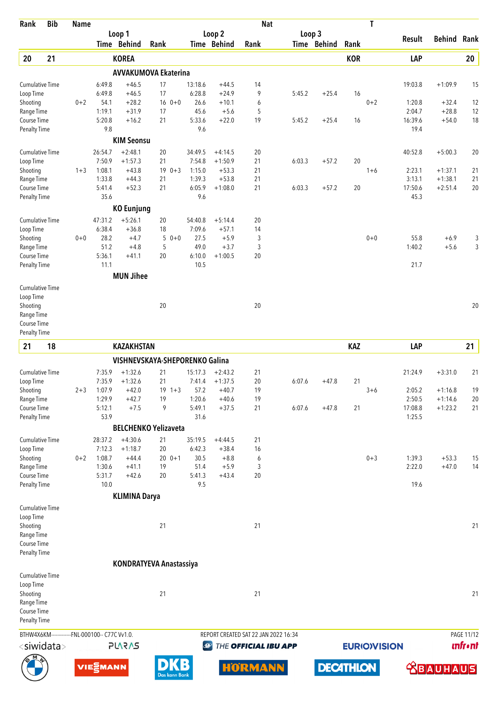| Rank                                | <b>Bib</b> | <b>Name</b> |                                                |                                |        |               |                  |                       | <b>Nat</b>     |                                      |                       |            | T                   |                   |                        |                |
|-------------------------------------|------------|-------------|------------------------------------------------|--------------------------------|--------|---------------|------------------|-----------------------|----------------|--------------------------------------|-----------------------|------------|---------------------|-------------------|------------------------|----------------|
|                                     |            |             |                                                | Loop 1<br>Time Behind          | Rank   |               |                  | Loop 2<br>Time Behind | Rank           |                                      | Loop 3<br>Time Behind | Rank       |                     | Result            | <b>Behind Rank</b>     |                |
| 20                                  | 21         |             |                                                | <b>KOREA</b>                   |        |               |                  |                       |                |                                      |                       | <b>KOR</b> |                     | LAP               |                        | 20             |
|                                     |            |             |                                                | <b>AVVAKUMOVA Ekaterina</b>    |        |               |                  |                       |                |                                      |                       |            |                     |                   |                        |                |
| <b>Cumulative Time</b>              |            |             | 6:49.8                                         | $+46.5$                        | 17     |               | 13:18.6          | $+44.5$               | 14             |                                      |                       |            |                     | 19:03.8           | $+1:09.9$              | 15             |
| Loop Time                           |            |             | 6:49.8                                         | $+46.5$                        | 17     |               | 6:28.8           | $+24.9$               | 9              | 5:45.2                               | $+25.4$               | 16         |                     |                   |                        |                |
| Shooting<br>Range Time              |            | $0 + 2$     | 54.1<br>1:19.1                                 | $+28.2$<br>$+31.9$             | 17     | $16 \t 0+0$   | 26.6<br>45.6     | $+10.1$<br>$+5.6$     | 6<br>5         |                                      |                       |            | $0 + 2$             | 1:20.8<br>2:04.7  | $+32.4$<br>$+28.8$     | 12<br>12       |
| Course Time                         |            |             | 5:20.8                                         | $+16.2$                        | 21     |               | 5:33.6           | $+22.0$               | 19             | 5:45.2                               | $+25.4$               | 16         |                     | 16:39.6           | $+54.0$                | 18             |
| Penalty Time                        |            |             | 9.8                                            |                                |        |               | 9.6              |                       |                |                                      |                       |            |                     | 19.4              |                        |                |
|                                     |            |             |                                                | <b>KIM Seonsu</b>              |        |               |                  |                       |                |                                      |                       |            |                     |                   |                        |                |
| <b>Cumulative Time</b>              |            |             | 26:54.7                                        | $+2:48.1$                      | 20     |               | 34:49.5          | $+4:14.5$             | 20             |                                      |                       |            |                     | 40:52.8           | $+5:00.3$              | 20             |
| Loop Time                           |            |             | 7:50.9                                         | $+1:57.3$                      | 21     |               | 7:54.8           | $+1:50.9$             | 21             | 6:03.3                               | $+57.2$               | 20         |                     |                   |                        |                |
| Shooting<br>Range Time              |            | $1 + 3$     | 1:08.1<br>1:33.8                               | $+43.8$<br>$+44.3$             | 21     | $190+3$       | 1:15.0<br>1:39.3 | $+53.3$<br>$+53.8$    | 21<br>21       |                                      |                       |            | $1 + 6$             | 2:23.1<br>3:13.1  | $+1:37.1$<br>$+1:38.1$ | 21<br>21       |
| Course Time                         |            |             | 5:41.4                                         | $+52.3$                        | 21     |               | 6:05.9           | $+1:08.0$             | 21             | 6:03.3                               | $+57.2$               | 20         |                     | 17:50.6           | $+2:51.4$              | 20             |
| <b>Penalty Time</b>                 |            |             | 35.6                                           |                                |        |               | 9.6              |                       |                |                                      |                       |            |                     | 45.3              |                        |                |
|                                     |            |             |                                                | <b>KO Eunjung</b>              |        |               |                  |                       |                |                                      |                       |            |                     |                   |                        |                |
| <b>Cumulative Time</b>              |            |             | 47:31.2                                        | $+5:26.1$                      | 20     |               | 54:40.8          | $+5:14.4$             | 20             |                                      |                       |            |                     |                   |                        |                |
| Loop Time                           |            |             | 6:38.4                                         | $+36.8$                        | 18     |               | 7:09.6           | $+57.1$               | 14             |                                      |                       |            |                     |                   |                        |                |
| Shooting<br>Range Time              |            | $0 + 0$     | 28.2<br>51.2                                   | $+4.7$<br>$+4.8$               | 5<br>5 | $0 + 0$       | 27.5<br>49.0     | $+5.9$<br>$+3.7$      | 3<br>3         |                                      |                       |            | $0 + 0$             | 55.8<br>1:40.2    | $+6.9$<br>$+5.6$       | 3<br>3         |
| Course Time                         |            |             | 5:36.1                                         | $+41.1$                        | 20     |               | 6:10.0           | $+1:00.5$             | 20             |                                      |                       |            |                     |                   |                        |                |
| Penalty Time                        |            |             | 11.1                                           |                                |        |               | 10.5             |                       |                |                                      |                       |            |                     | 21.7              |                        |                |
|                                     |            |             |                                                | <b>MUN Jihee</b>               |        |               |                  |                       |                |                                      |                       |            |                     |                   |                        |                |
| <b>Cumulative Time</b>              |            |             |                                                |                                |        |               |                  |                       |                |                                      |                       |            |                     |                   |                        |                |
| Loop Time                           |            |             |                                                |                                |        |               |                  |                       |                |                                      |                       |            |                     |                   |                        |                |
| Shooting                            |            |             |                                                |                                | 20     |               |                  |                       | 20             |                                      |                       |            |                     |                   |                        | 20             |
| Range Time<br>Course Time           |            |             |                                                |                                |        |               |                  |                       |                |                                      |                       |            |                     |                   |                        |                |
| Penalty Time                        |            |             |                                                |                                |        |               |                  |                       |                |                                      |                       |            |                     |                   |                        |                |
| 21                                  | 18         |             |                                                | <b>KAZAKHSTAN</b>              |        |               |                  |                       |                |                                      |                       | <b>KAZ</b> |                     | LAP               |                        | 21             |
|                                     |            |             |                                                | VISHNEVSKAYA-SHEPORENKO Galina |        |               |                  |                       |                |                                      |                       |            |                     |                   |                        |                |
| <b>Cumulative Time</b>              |            |             | 7:35.9                                         | $+1:32.6$                      | 21     |               | 15:17.3          | $+2:43.2$             | 21             |                                      |                       |            |                     | 21:24.9           | $+3:31.0$              | 21             |
| Loop Time                           |            |             | 7:35.9                                         | $+1:32.6$                      | 21     |               | 7:41.4           | $+1:37.5$             | 20             | 6:07.6                               | $+47.8$               | 21         |                     |                   |                        |                |
| Shooting                            |            | 2+3         | 1:07.9                                         | $+42.0$                        |        | $19 \t1+3$    | 57.2             | $+40.7$               | 19             |                                      |                       |            | $3 + 6$             | 2:05.2            | $+1:16.8$              | 19             |
| Range Time                          |            |             | 1:29.9                                         | $+42.7$                        | 19     |               | 1:20.6           | $+40.6$               | 19             |                                      |                       |            |                     | 2:50.5            | $+1:14.6$              | 20             |
| Course Time<br><b>Penalty Time</b>  |            |             | 5:12.1<br>53.9                                 | $+7.5$                         | 9      |               | 5:49.1<br>31.6   | $+37.5$               | 21             | 6:07.6                               | $+47.8$               | 21         |                     | 17:08.8<br>1:25.5 | $+1:23.2$              | 21             |
|                                     |            |             |                                                | <b>BELCHENKO Yelizaveta</b>    |        |               |                  |                       |                |                                      |                       |            |                     |                   |                        |                |
| <b>Cumulative Time</b>              |            |             | 28:37.2                                        | $+4:30.6$                      | 21     |               | 35:19.5          | $+4:44.5$             | 21             |                                      |                       |            |                     |                   |                        |                |
| Loop Time                           |            |             | 7:12.3                                         | $+1:18.7$                      | 20     |               | 6:42.3           | $+38.4$               | 16             |                                      |                       |            |                     |                   |                        |                |
| Shooting                            |            | $0 + 2$     | 1:08.7                                         | $+44.4$                        |        | $200 + 1$     | 30.5             | $+8.8$                | 6              |                                      |                       |            | $0 + 3$             | 1:39.3            | $+53.3$                | 15             |
| Range Time                          |            |             | 1:30.6                                         | $+41.1$                        | 19     |               | 51.4             | $+5.9$                | 3              |                                      |                       |            |                     | 2:22.0            | $+47.0$                | 14             |
| Course Time                         |            |             | 5:31.7                                         | $+42.6$                        | 20     |               | 5:41.3           | $+43.4$               | 20             |                                      |                       |            |                     |                   |                        |                |
| Penalty Time                        |            |             | 10.0                                           |                                |        |               | 9.5              |                       |                |                                      |                       |            |                     | 19.6              |                        |                |
| <b>Cumulative Time</b>              |            |             |                                                | <b>KLIMINA Darya</b>           |        |               |                  |                       |                |                                      |                       |            |                     |                   |                        |                |
| Loop Time                           |            |             |                                                |                                |        |               |                  |                       |                |                                      |                       |            |                     |                   |                        |                |
| Shooting                            |            |             |                                                |                                | 21     |               |                  |                       | 21             |                                      |                       |            |                     |                   |                        | 21             |
| Range Time                          |            |             |                                                |                                |        |               |                  |                       |                |                                      |                       |            |                     |                   |                        |                |
| Course Time                         |            |             |                                                |                                |        |               |                  |                       |                |                                      |                       |            |                     |                   |                        |                |
| Penalty Time                        |            |             |                                                |                                |        |               |                  |                       |                |                                      |                       |            |                     |                   |                        |                |
|                                     |            |             |                                                | <b>KONDRATYEVA Anastassiya</b> |        |               |                  |                       |                |                                      |                       |            |                     |                   |                        |                |
| <b>Cumulative Time</b><br>Loop Time |            |             |                                                |                                |        |               |                  |                       |                |                                      |                       |            |                     |                   |                        |                |
| Shooting                            |            |             |                                                |                                | 21     |               |                  |                       | 21             |                                      |                       |            |                     |                   |                        | 21             |
| Range Time                          |            |             |                                                |                                |        |               |                  |                       |                |                                      |                       |            |                     |                   |                        |                |
| Course Time                         |            |             |                                                |                                |        |               |                  |                       |                |                                      |                       |            |                     |                   |                        |                |
| <b>Penalty Time</b>                 |            |             |                                                |                                |        |               |                  |                       |                |                                      |                       |            |                     |                   |                        |                |
|                                     |            |             | BTHW4X6KM-------------FNL-000100-- C77C Vv1.0. |                                |        |               |                  |                       |                | REPORT CREATED SAT 22 JAN 2022 16:34 |                       |            |                     |                   |                        | PAGE 11/12     |
| $<$ siwidata $>$                    |            |             |                                                | <b>SV2V7L</b>                  |        |               | $\bigcirc$       |                       |                | THE OFFICIAL IBU APP                 |                       |            | <b>EURIO)VISION</b> |                   |                        | <b>unfront</b> |
|                                     |            |             | VIESMANN                                       |                                |        |               |                  |                       | <b>HORMANN</b> |                                      | <b>DECATHLON</b>      |            |                     |                   | <b> SBAUHAUS</b>       |                |
|                                     |            |             |                                                |                                |        | Das kann Bank |                  |                       |                |                                      |                       |            |                     |                   |                        |                |